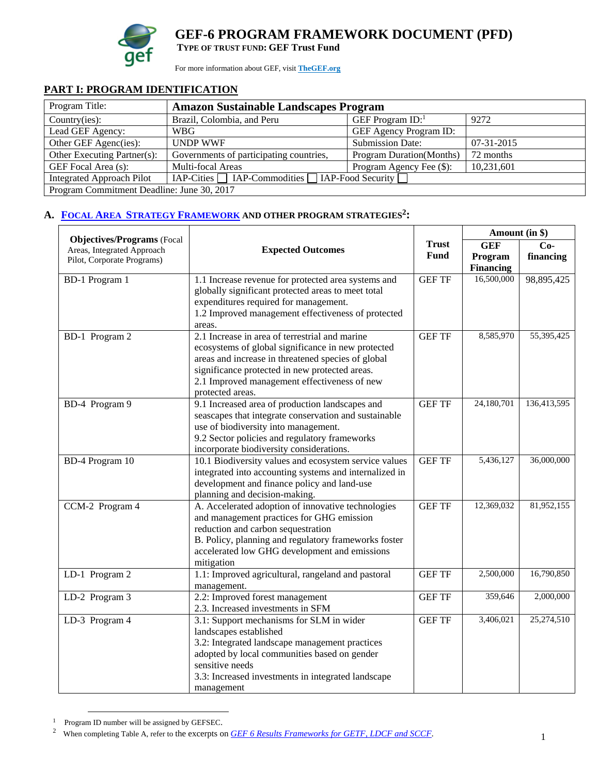

# **GEF-6 PROGRAM FRAMEWORK DOCUMENT (PFD)**

**TYPE OF TRUST FUND: GEF Trust Fund** 

For more information about GEF, visit **TheGEF.org**

# **PART I: PROGRAM IDENTIFICATION**

| Program Title:                             | <b>Amazon Sustainable Landscapes Program</b>                                             |      |  |  |  |  |
|--------------------------------------------|------------------------------------------------------------------------------------------|------|--|--|--|--|
| Country(ies):                              | Brazil, Colombia, and Peru                                                               | 9272 |  |  |  |  |
| Lead GEF Agency:                           | <b>GEF Agency Program ID:</b><br><b>WBG</b>                                              |      |  |  |  |  |
| Other GEF Agenc(ies):                      | <b>UNDP WWF</b><br><b>Submission Date:</b><br>$07-31-2015$                               |      |  |  |  |  |
| Other Executing Partner(s):                | 72 months<br>Governments of participating countries,<br><b>Program Duration</b> (Months) |      |  |  |  |  |
| GEF Focal Area (s):                        | 10,231,601<br>Multi-focal Areas<br>Program Agency Fee (\$):                              |      |  |  |  |  |
| <b>Integrated Approach Pilot</b>           | $IAP-Cities$ $IAP-Commodities$ $IAP-Food Security$                                       |      |  |  |  |  |
| Program Commitment Deadline: June 30, 2017 |                                                                                          |      |  |  |  |  |

#### A. FOCAL AREA STRATEGY FRAMEWORK AND OTHER PROGRAM STRATEGIES<sup>2</sup>:

|                                                                 |                                                                                                                                                                                                                                                                                  |               | Amount (in \$)              |             |
|-----------------------------------------------------------------|----------------------------------------------------------------------------------------------------------------------------------------------------------------------------------------------------------------------------------------------------------------------------------|---------------|-----------------------------|-------------|
| <b>Objectives/Programs</b> (Focal<br>Areas, Integrated Approach | <b>Expected Outcomes</b>                                                                                                                                                                                                                                                         | <b>Trust</b>  | <b>GEF</b>                  | $Co-$       |
| Pilot, Corporate Programs)                                      |                                                                                                                                                                                                                                                                                  | <b>Fund</b>   | Program<br><b>Financing</b> | financing   |
| BD-1 Program 1                                                  | 1.1 Increase revenue for protected area systems and<br>globally significant protected areas to meet total<br>expenditures required for management.<br>1.2 Improved management effectiveness of protected<br>areas.                                                               | <b>GEF TF</b> | 16,500,000                  | 98,895,425  |
| BD-1 Program 2                                                  | 2.1 Increase in area of terrestrial and marine<br>ecosystems of global significance in new protected<br>areas and increase in threatened species of global<br>significance protected in new protected areas.<br>2.1 Improved management effectiveness of new<br>protected areas. | <b>GEF TF</b> | 8,585,970                   | 55,395,425  |
| BD-4 Program 9                                                  | 9.1 Increased area of production landscapes and<br>seascapes that integrate conservation and sustainable<br>use of biodiversity into management.<br>9.2 Sector policies and regulatory frameworks<br>incorporate biodiversity considerations.                                    | <b>GEF TF</b> | 24,180,701                  | 136,413,595 |
| BD-4 Program 10                                                 | 10.1 Biodiversity values and ecosystem service values<br>integrated into accounting systems and internalized in<br>development and finance policy and land-use<br>planning and decision-making.                                                                                  | <b>GEF TF</b> | 5,436,127                   | 36,000,000  |
| CCM-2 Program 4                                                 | A. Accelerated adoption of innovative technologies<br>and management practices for GHG emission<br>reduction and carbon sequestration<br>B. Policy, planning and regulatory frameworks foster<br>accelerated low GHG development and emissions<br>mitigation                     | <b>GEF TF</b> | 12,369,032                  | 81,952,155  |
| LD-1 Program 2                                                  | 1.1: Improved agricultural, rangeland and pastoral<br>management.                                                                                                                                                                                                                | <b>GEF TF</b> | 2,500,000                   | 16,790,850  |
| LD-2 Program 3                                                  | 2.2: Improved forest management<br>2.3. Increased investments in SFM                                                                                                                                                                                                             | <b>GEF TF</b> | 359,646                     | 2,000,000   |
| LD-3 Program 4                                                  | 3.1: Support mechanisms for SLM in wider<br>landscapes established<br>3.2: Integrated landscape management practices<br>adopted by local communities based on gender<br>sensitive needs<br>3.3: Increased investments in integrated landscape<br>management                      | <b>GEF TF</b> | 3,406,021                   | 25,274,510  |

 $1$  Program ID number will be assigned by GEFSEC.

<sup>&</sup>lt;sup>2</sup> When completing Table A, refer to the excerpts on *GEF 6 Results Frameworks for GETF, LDCF and SCCF*.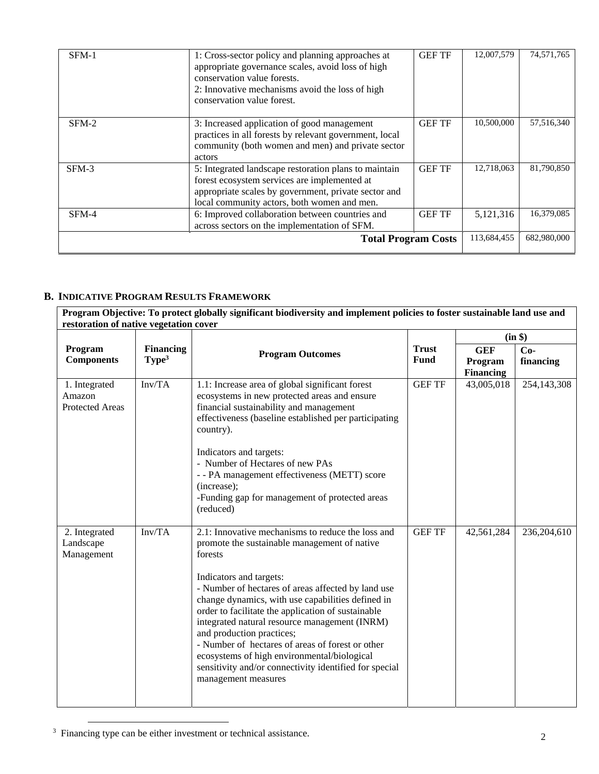| SFM-1                      | 1: Cross-sector policy and planning approaches at<br>appropriate governance scales, avoid loss of high<br>conservation value forests.<br>2: Innovative mechanisms avoid the loss of high<br>conservation value forest. | <b>GEF TF</b> | 12,007,579 | 74,571,765  |
|----------------------------|------------------------------------------------------------------------------------------------------------------------------------------------------------------------------------------------------------------------|---------------|------------|-------------|
| $SFM-2$                    | 3: Increased application of good management<br>practices in all forests by relevant government, local<br>community (both women and men) and private sector<br>actors                                                   | <b>GEF TF</b> | 10,500,000 | 57,516,340  |
| $SFM-3$                    | 5: Integrated landscape restoration plans to maintain<br>forest ecosystem services are implemented at<br>appropriate scales by government, private sector and<br>local community actors, both women and men.           | <b>GEF TF</b> | 12,718,063 | 81,790,850  |
| SFM-4                      | 6: Improved collaboration between countries and<br>across sectors on the implementation of SFM.                                                                                                                        | <b>GEF TF</b> | 5,121,316  | 16,379,085  |
| <b>Total Program Costs</b> |                                                                                                                                                                                                                        |               |            | 682,980,000 |

#### **B. INDICATIVE PROGRAM RESULTS FRAMEWORK**

**Program Objective: To protect globally significant biodiversity and implement policies to foster sustainable land use and restoration of native vegetation cover** 

|                                                   |                                       |                                                                                                                                                                                                                                                                                                                                                                                                                                                            |                             | (in \$)                                   |                    |  |
|---------------------------------------------------|---------------------------------------|------------------------------------------------------------------------------------------------------------------------------------------------------------------------------------------------------------------------------------------------------------------------------------------------------------------------------------------------------------------------------------------------------------------------------------------------------------|-----------------------------|-------------------------------------------|--------------------|--|
| Program<br><b>Components</b>                      | <b>Financing</b><br>Type <sup>3</sup> | <b>Program Outcomes</b>                                                                                                                                                                                                                                                                                                                                                                                                                                    | <b>Trust</b><br><b>Fund</b> | <b>GEF</b><br>Program<br><b>Financing</b> | $Co-$<br>financing |  |
| 1. Integrated<br>Amazon<br><b>Protected Areas</b> | Inv/TA                                | 1.1: Increase area of global significant forest<br>ecosystems in new protected areas and ensure<br>financial sustainability and management<br>effectiveness (baseline established per participating<br>country).                                                                                                                                                                                                                                           | <b>GEF TF</b>               | 43,005,018                                | 254,143,308        |  |
|                                                   |                                       | Indicators and targets:<br>- Number of Hectares of new PAs<br>- - PA management effectiveness (METT) score<br>(increase);<br>-Funding gap for management of protected areas<br>(reduced)                                                                                                                                                                                                                                                                   |                             |                                           |                    |  |
| 2. Integrated<br>Landscape<br>Management          | Inv/TA                                | 2.1: Innovative mechanisms to reduce the loss and<br>promote the sustainable management of native<br>forests                                                                                                                                                                                                                                                                                                                                               | <b>GEF TF</b>               | 42,561,284                                | 236,204,610        |  |
|                                                   |                                       | Indicators and targets:<br>- Number of hectares of areas affected by land use<br>change dynamics, with use capabilities defined in<br>order to facilitate the application of sustainable<br>integrated natural resource management (INRM)<br>and production practices;<br>- Number of hectares of areas of forest or other<br>ecosystems of high environmental/biological<br>sensitivity and/or connectivity identified for special<br>management measures |                             |                                           |                    |  |

<sup>3</sup> Financing type can be either investment or technical assistance.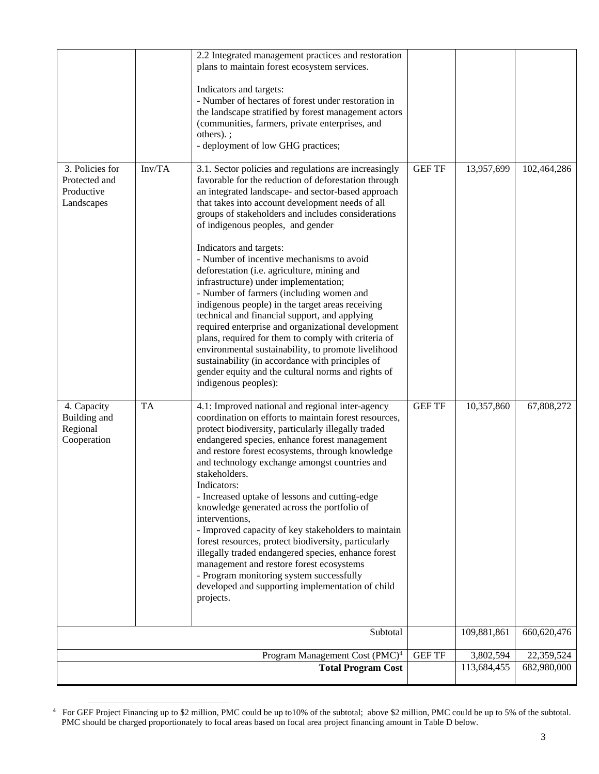|                                                              |           | 2.2 Integrated management practices and restoration<br>plans to maintain forest ecosystem services.                                                                                                                                                                                                                                                                                                                                                                                                                                                                                                                                                                                                                                                                                                      |               |             |             |
|--------------------------------------------------------------|-----------|----------------------------------------------------------------------------------------------------------------------------------------------------------------------------------------------------------------------------------------------------------------------------------------------------------------------------------------------------------------------------------------------------------------------------------------------------------------------------------------------------------------------------------------------------------------------------------------------------------------------------------------------------------------------------------------------------------------------------------------------------------------------------------------------------------|---------------|-------------|-------------|
|                                                              |           | Indicators and targets:<br>- Number of hectares of forest under restoration in<br>the landscape stratified by forest management actors<br>(communities, farmers, private enterprises, and<br>others).;<br>- deployment of low GHG practices;                                                                                                                                                                                                                                                                                                                                                                                                                                                                                                                                                             |               |             |             |
| 3. Policies for<br>Protected and<br>Productive<br>Landscapes | Inv/TA    | 3.1. Sector policies and regulations are increasingly<br>favorable for the reduction of deforestation through<br>an integrated landscape- and sector-based approach<br>that takes into account development needs of all<br>groups of stakeholders and includes considerations<br>of indigenous peoples, and gender                                                                                                                                                                                                                                                                                                                                                                                                                                                                                       | <b>GEF TF</b> | 13,957,699  | 102,464,286 |
|                                                              |           | Indicators and targets:<br>- Number of incentive mechanisms to avoid<br>deforestation (i.e. agriculture, mining and<br>infrastructure) under implementation;<br>- Number of farmers (including women and<br>indigenous people) in the target areas receiving<br>technical and financial support, and applying<br>required enterprise and organizational development<br>plans, required for them to comply with criteria of<br>environmental sustainability, to promote livelihood<br>sustainability (in accordance with principles of<br>gender equity and the cultural norms and rights of<br>indigenous peoples):                                                                                                                                                                                      |               |             |             |
| 4. Capacity<br>Building and<br>Regional<br>Cooperation       | <b>TA</b> | 4.1: Improved national and regional inter-agency<br>coordination on efforts to maintain forest resources,<br>protect biodiversity, particularly illegally traded<br>endangered species, enhance forest management<br>and restore forest ecosystems, through knowledge<br>and technology exchange amongst countries and<br>stakeholders.<br>Indicators:<br>- Increased uptake of lessons and cutting-edge<br>knowledge generated across the portfolio of<br>interventions,<br>- Improved capacity of key stakeholders to maintain<br>forest resources, protect biodiversity, particularly<br>illegally traded endangered species, enhance forest<br>management and restore forest ecosystems<br>- Program monitoring system successfully<br>developed and supporting implementation of child<br>projects. | <b>GEF TF</b> | 10,357,860  | 67,808,272  |
|                                                              |           | Subtotal                                                                                                                                                                                                                                                                                                                                                                                                                                                                                                                                                                                                                                                                                                                                                                                                 |               | 109,881,861 | 660,620,476 |
|                                                              |           | Program Management Cost (PMC) <sup>4</sup>                                                                                                                                                                                                                                                                                                                                                                                                                                                                                                                                                                                                                                                                                                                                                               | <b>GEF TF</b> | 3,802,594   | 22,359,524  |
| <b>Total Program Cost</b>                                    |           |                                                                                                                                                                                                                                                                                                                                                                                                                                                                                                                                                                                                                                                                                                                                                                                                          |               | 113,684,455 | 682,980,000 |

<sup>&</sup>lt;sup>4</sup> For GEF Project Financing up to \$2 million, PMC could be up to10% of the subtotal; above \$2 million, PMC could be up to 5% of the subtotal. PMC should be charged proportionately to focal areas based on focal area project financing amount in Table D below.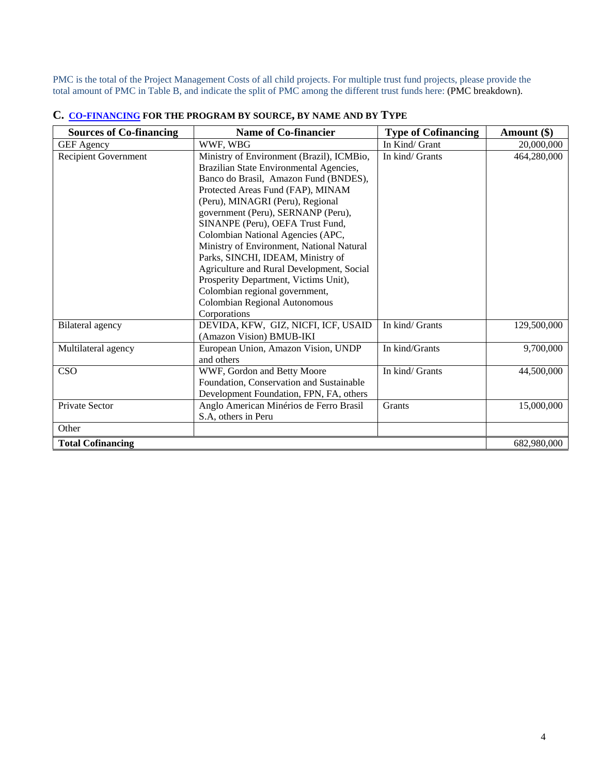PMC is the total of the Project Management Costs of all child projects. For multiple trust fund projects, please provide the total amount of PMC in Table B, and indicate the split of PMC among the different trust funds here: (PMC breakdown).

| <b>Sources of Co-financing</b> | Name of Co-financier                                                                                                                                                                                                                                                                                                                                                                                                                                                                                                                                                             | <b>Type of Cofinancing</b> | Amount $(\$)$ |
|--------------------------------|----------------------------------------------------------------------------------------------------------------------------------------------------------------------------------------------------------------------------------------------------------------------------------------------------------------------------------------------------------------------------------------------------------------------------------------------------------------------------------------------------------------------------------------------------------------------------------|----------------------------|---------------|
| <b>GEF</b> Agency              | WWF, WBG                                                                                                                                                                                                                                                                                                                                                                                                                                                                                                                                                                         | In Kind/ Grant             | 20,000,000    |
| <b>Recipient Government</b>    | Ministry of Environment (Brazil), ICMBio,<br>Brazilian State Environmental Agencies,<br>Banco do Brasil, Amazon Fund (BNDES),<br>Protected Areas Fund (FAP), MINAM<br>(Peru), MINAGRI (Peru), Regional<br>government (Peru), SERNANP (Peru),<br>SINANPE (Peru), OEFA Trust Fund,<br>Colombian National Agencies (APC,<br>Ministry of Environment, National Natural<br>Parks, SINCHI, IDEAM, Ministry of<br>Agriculture and Rural Development, Social<br>Prosperity Department, Victims Unit),<br>Colombian regional government,<br>Colombian Regional Autonomous<br>Corporations | In kind/ Grants            | 464,280,000   |
| <b>Bilateral agency</b>        | DEVIDA, KFW, GIZ, NICFI, ICF, USAID<br>(Amazon Vision) BMUB-IKI                                                                                                                                                                                                                                                                                                                                                                                                                                                                                                                  | In kind/ Grants            | 129,500,000   |
| Multilateral agency            | European Union, Amazon Vision, UNDP<br>and others                                                                                                                                                                                                                                                                                                                                                                                                                                                                                                                                | In kind/Grants             | 9,700,000     |
| CSO                            | WWF, Gordon and Betty Moore<br>Foundation, Conservation and Sustainable<br>Development Foundation, FPN, FA, others                                                                                                                                                                                                                                                                                                                                                                                                                                                               | In kind/ Grants            | 44,500,000    |
| <b>Private Sector</b>          | Anglo American Minérios de Ferro Brasil<br>S.A, others in Peru                                                                                                                                                                                                                                                                                                                                                                                                                                                                                                                   | Grants                     | 15,000,000    |
| Other                          |                                                                                                                                                                                                                                                                                                                                                                                                                                                                                                                                                                                  |                            |               |
| <b>Total Cofinancing</b>       |                                                                                                                                                                                                                                                                                                                                                                                                                                                                                                                                                                                  |                            | 682,980,000   |

# **C. CO-FINANCING FOR THE PROGRAM BY SOURCE, BY NAME AND BY TYPE**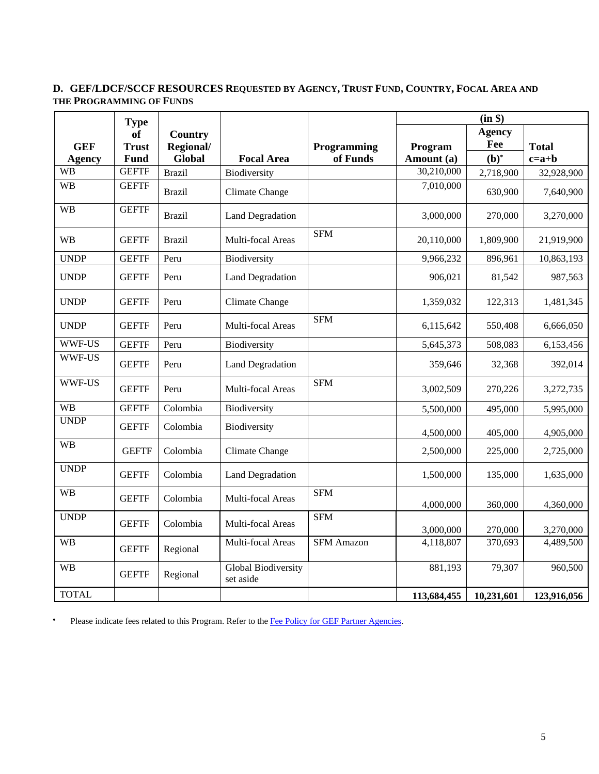#### **D. GEF/LDCF/SCCF RESOURCES REQUESTED BY AGENCY, TRUST FUND, COUNTRY, FOCAL AREA AND THE PROGRAMMING OF FUNDS**

|               | <b>Type</b>  |                |                                         |                   | (in \$)     |               |              |
|---------------|--------------|----------------|-----------------------------------------|-------------------|-------------|---------------|--------------|
|               | <b>of</b>    | <b>Country</b> |                                         |                   |             | <b>Agency</b> |              |
| <b>GEF</b>    | <b>Trust</b> | Regional/      |                                         | Programming       | Program     | Fee           | <b>Total</b> |
| <b>Agency</b> | <b>Fund</b>  | Global         | <b>Focal Area</b>                       | of Funds          | Amount (a)  | $(b)^*$       | $c=a+b$      |
| <b>WB</b>     | <b>GEFTF</b> | <b>Brazil</b>  | Biodiversity                            |                   | 30,210,000  | 2,718,900     | 32,928,900   |
| <b>WB</b>     | <b>GEFTF</b> | <b>Brazil</b>  | <b>Climate Change</b>                   |                   | 7,010,000   | 630,900       | 7,640,900    |
| <b>WB</b>     | <b>GEFTF</b> | <b>Brazil</b>  | <b>Land Degradation</b>                 |                   | 3,000,000   | 270,000       | 3,270,000    |
| <b>WB</b>     | <b>GEFTF</b> | <b>Brazil</b>  | Multi-focal Areas                       | <b>SFM</b>        | 20,110,000  | 1,809,900     | 21,919,900   |
| <b>UNDP</b>   | <b>GEFTF</b> | Peru           | Biodiversity                            |                   | 9,966,232   | 896,961       | 10,863,193   |
| <b>UNDP</b>   | <b>GEFTF</b> | Peru           | <b>Land Degradation</b>                 |                   | 906,021     | 81,542        | 987,563      |
| <b>UNDP</b>   | <b>GEFTF</b> | Peru           | <b>Climate Change</b>                   |                   | 1,359,032   | 122,313       | 1,481,345    |
| <b>UNDP</b>   | <b>GEFTF</b> | Peru           | Multi-focal Areas                       | <b>SFM</b>        | 6,115,642   | 550,408       | 6,666,050    |
| WWF-US        | <b>GEFTF</b> | Peru           | Biodiversity                            |                   | 5,645,373   | 508,083       | 6,153,456    |
| <b>WWF-US</b> | <b>GEFTF</b> | Peru           | <b>Land Degradation</b>                 |                   | 359,646     | 32,368        | 392,014      |
| <b>WWF-US</b> | <b>GEFTF</b> | Peru           | Multi-focal Areas                       | <b>SFM</b>        | 3,002,509   | 270,226       | 3,272,735    |
| <b>WB</b>     | <b>GEFTF</b> | Colombia       | Biodiversity                            |                   | 5,500,000   | 495,000       | 5,995,000    |
| <b>UNDP</b>   | <b>GEFTF</b> | Colombia       | Biodiversity                            |                   | 4,500,000   | 405,000       | 4,905,000    |
| <b>WB</b>     | <b>GEFTF</b> | Colombia       | Climate Change                          |                   | 2,500,000   | 225,000       | 2,725,000    |
| <b>UNDP</b>   | <b>GEFTF</b> | Colombia       | <b>Land Degradation</b>                 |                   | 1,500,000   | 135,000       | 1,635,000    |
| <b>WB</b>     | <b>GEFTF</b> | Colombia       | Multi-focal Areas                       | <b>SFM</b>        | 4,000,000   | 360,000       | 4,360,000    |
| <b>UNDP</b>   | <b>GEFTF</b> | Colombia       | Multi-focal Areas                       | <b>SFM</b>        | 3,000,000   | 270,000       | 3,270,000    |
| <b>WB</b>     | <b>GEFTF</b> | Regional       | Multi-focal Areas                       | <b>SFM Amazon</b> | 4,118,807   | 370,693       | 4,489,500    |
| <b>WB</b>     | <b>GEFTF</b> | Regional       | <b>Global Biodiversity</b><br>set aside |                   | 881,193     | 79,307        | 960,500      |
| <b>TOTAL</b>  |              |                |                                         |                   | 113,684,455 | 10,231,601    | 123,916,056  |

• Please indicate fees related to this Program. Refer to the Fee Policy for GEF Partner Agencies.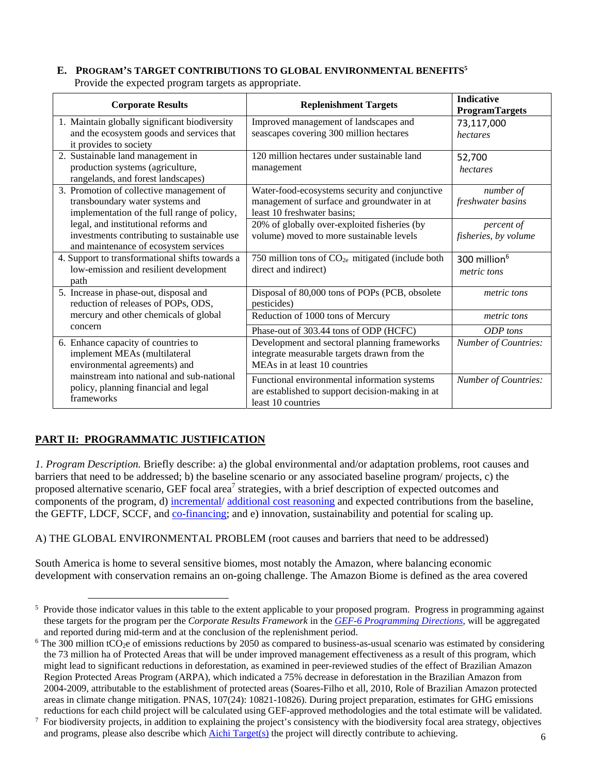#### **E. PROGRAM'S TARGET CONTRIBUTIONS TO GLOBAL ENVIRONMENTAL BENEFITS5** Provide the expected program targets as appropriate.

| <b>Corporate Results</b>                                                                                                     | <b>Replenishment Targets</b>                                                                                                                                           | <b>Indicative</b><br><b>ProgramTargets</b>     |
|------------------------------------------------------------------------------------------------------------------------------|------------------------------------------------------------------------------------------------------------------------------------------------------------------------|------------------------------------------------|
| 1. Maintain globally significant biodiversity<br>and the ecosystem goods and services that<br>it provides to society         | Improved management of landscapes and<br>seascapes covering 300 million hectares                                                                                       | 73,117,000<br>hectares                         |
| 2. Sustainable land management in<br>production systems (agriculture,<br>rangelands, and forest landscapes)                  | 120 million hectares under sustainable land<br>management                                                                                                              | 52,700<br>hectares                             |
| 3. Promotion of collective management of<br>transboundary water systems and<br>implementation of the full range of policy,   | Water-food-ecosystems security and conjunctive<br>management of surface and groundwater in at<br>least 10 freshwater basins;                                           | number of<br>freshwater basins                 |
| legal, and institutional reforms and<br>investments contributing to sustainable use<br>and maintenance of ecosystem services | 20% of globally over-exploited fisheries (by<br>volume) moved to more sustainable levels                                                                               | percent of<br>fisheries, by volume             |
| 4. Support to transformational shifts towards a<br>low-emission and resilient development<br>path                            | 750 million tons of $CO2e$ mitigated (include both<br>direct and indirect)                                                                                             | 300 million <sup>6</sup><br><i>metric</i> tons |
| 5. Increase in phase-out, disposal and<br>reduction of releases of POPs, ODS,                                                | Disposal of 80,000 tons of POPs (PCB, obsolete<br>pesticides)                                                                                                          | metric tons                                    |
| mercury and other chemicals of global<br>concern                                                                             | Reduction of 1000 tons of Mercury                                                                                                                                      | metric tons                                    |
| 6. Enhance capacity of countries to<br>implement MEAs (multilateral<br>environmental agreements) and                         | Phase-out of 303.44 tons of ODP (HCFC)<br>Development and sectoral planning frameworks<br>integrate measurable targets drawn from the<br>MEAs in at least 10 countries | ODP tons<br>Number of Countries:               |
| mainstream into national and sub-national<br>policy, planning financial and legal<br>frameworks                              | Functional environmental information systems<br>are established to support decision-making in at<br>least 10 countries                                                 | <b>Number of Countries:</b>                    |

# **PART II: PROGRAMMATIC JUSTIFICATION**

*1. Program Description.* Briefly describe: a) the global environmental and/or adaptation problems, root causes and barriers that need to be addressed; b) the baseline scenario or any associated baseline program/ projects, c) the proposed alternative scenario, GEF focal area<sup>7</sup> strategies, with a brief description of expected outcomes and components of the program, d) incremental/ additional cost reasoning and expected contributions from the baseline, the GEFTF, LDCF, SCCF, and co-financing; and e) innovation, sustainability and potential for scaling up.

A) THE GLOBAL ENVIRONMENTAL PROBLEM (root causes and barriers that need to be addressed)

South America is home to several sensitive biomes, most notably the Amazon, where balancing economic development with conservation remains an on-going challenge. The Amazon Biome is defined as the area covered

<sup>&</sup>lt;sup>5</sup> Provide those indicator values in this table to the extent applicable to your proposed program. Progress in programming against these targets for the program per the *Corporate Results Framework* in the *GEF-6 Programming Directions,* will be aggregated and reported during mid-term and at the conclusion of the replenishment period. 6

 $6$  The 300 million tCO<sub>2</sub>e of emissions reductions by 2050 as compared to business-as-usual scenario was estimated by considering the 73 million ha of Protected Areas that will be under improved management effectiveness as a result of this program, which might lead to significant reductions in deforestation, as examined in peer-reviewed studies of the effect of Brazilian Amazon Region Protected Areas Program (ARPA), which indicated a 75% decrease in deforestation in the Brazilian Amazon from 2004-2009, attributable to the establishment of protected areas (Soares-Filho et all, 2010, Role of Brazilian Amazon protected areas in climate change mitigation. PNAS, 107(24): 10821-10826). During project preparation, estimates for GHG emissions reductions for each child project will be calculated using GEF-approved methodologies and the total estimate will be validated. 7

For biodiversity projects, in addition to explaining the project's consistency with the biodiversity focal area strategy, objectives and programs, please also describe which Aichi Target(s) the project will directly contribute to achieving.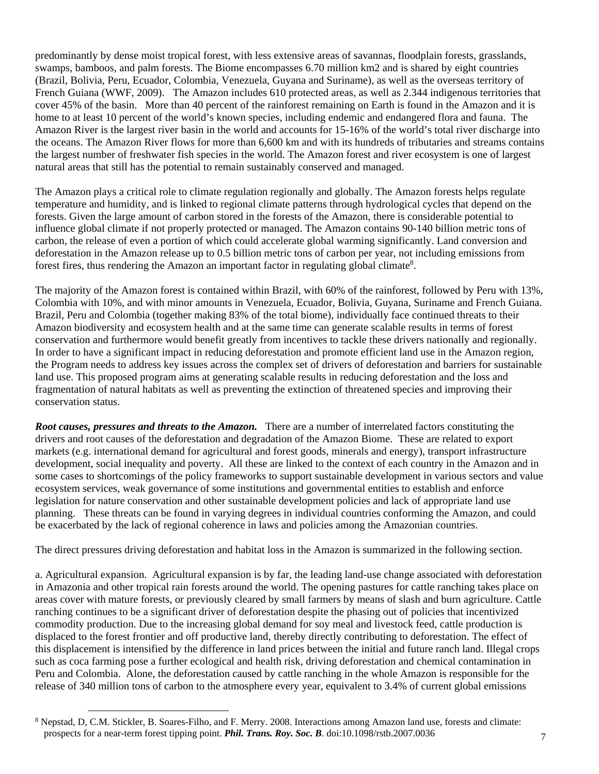predominantly by dense moist tropical forest, with less extensive areas of savannas, floodplain forests, grasslands, swamps, bamboos, and palm forests. The Biome encompasses 6.70 million km2 and is shared by eight countries (Brazil, Bolivia, Peru, Ecuador, Colombia, Venezuela, Guyana and Suriname), as well as the overseas territory of French Guiana (WWF, 2009). The Amazon includes 610 protected areas, as well as 2.344 indigenous territories that cover 45% of the basin. More than 40 percent of the rainforest remaining on Earth is found in the Amazon and it is home to at least 10 percent of the world's known species, including endemic and endangered flora and fauna. The Amazon River is the largest river basin in the world and accounts for 15-16% of the world's total river discharge into the oceans. The Amazon River flows for more than 6,600 km and with its hundreds of tributaries and streams contains the largest number of freshwater fish species in the world. The Amazon forest and river ecosystem is one of largest natural areas that still has the potential to remain sustainably conserved and managed.

The Amazon plays a critical role to climate regulation regionally and globally. The Amazon forests helps regulate temperature and humidity, and is linked to regional climate patterns through hydrological cycles that depend on the forests. Given the large amount of carbon stored in the forests of the Amazon, there is considerable potential to influence global climate if not properly protected or managed. The Amazon contains 90-140 billion metric tons of carbon, the release of even a portion of which could accelerate global warming significantly. Land conversion and deforestation in the Amazon release up to 0.5 billion metric tons of carbon per year, not including emissions from forest fires, thus rendering the Amazon an important factor in regulating global climate<sup>8</sup>.

The majority of the Amazon forest is contained within Brazil, with 60% of the rainforest, followed by Peru with 13%, Colombia with 10%, and with minor amounts in Venezuela, Ecuador, Bolivia, Guyana, Suriname and French Guiana. Brazil, Peru and Colombia (together making 83% of the total biome), individually face continued threats to their Amazon biodiversity and ecosystem health and at the same time can generate scalable results in terms of forest conservation and furthermore would benefit greatly from incentives to tackle these drivers nationally and regionally. In order to have a significant impact in reducing deforestation and promote efficient land use in the Amazon region, the Program needs to address key issues across the complex set of drivers of deforestation and barriers for sustainable land use. This proposed program aims at generating scalable results in reducing deforestation and the loss and fragmentation of natural habitats as well as preventing the extinction of threatened species and improving their conservation status.

*Root causes, pressures and threats to the Amazon.* There are a number of interrelated factors constituting the drivers and root causes of the deforestation and degradation of the Amazon Biome. These are related to export markets (e.g. international demand for agricultural and forest goods, minerals and energy), transport infrastructure development, social inequality and poverty. All these are linked to the context of each country in the Amazon and in some cases to shortcomings of the policy frameworks to support sustainable development in various sectors and value ecosystem services, weak governance of some institutions and governmental entities to establish and enforce legislation for nature conservation and other sustainable development policies and lack of appropriate land use planning. These threats can be found in varying degrees in individual countries conforming the Amazon, and could be exacerbated by the lack of regional coherence in laws and policies among the Amazonian countries.

The direct pressures driving deforestation and habitat loss in the Amazon is summarized in the following section.

a. Agricultural expansion. Agricultural expansion is by far, the leading land-use change associated with deforestation in Amazonia and other tropical rain forests around the world. The opening pastures for cattle ranching takes place on areas cover with mature forests, or previously cleared by small farmers by means of slash and burn agriculture. Cattle ranching continues to be a significant driver of deforestation despite the phasing out of policies that incentivized commodity production. Due to the increasing global demand for soy meal and livestock feed, cattle production is displaced to the forest frontier and off productive land, thereby directly contributing to deforestation. The effect of this displacement is intensified by the difference in land prices between the initial and future ranch land. Illegal crops such as coca farming pose a further ecological and health risk, driving deforestation and chemical contamination in Peru and Colombia. Alone, the deforestation caused by cattle ranching in the whole Amazon is responsible for the release of 340 million tons of carbon to the atmosphere every year, equivalent to 3.4% of current global emissions

<sup>&</sup>lt;sup>8</sup> Nepstad, D, C.M. Stickler, B. Soares-Filho, and F. Merry. 2008. Interactions among Amazon land use, forests and climate: prospects for a near-term forest tipping point. *Phil. Trans. Roy. Soc. B*. doi:10.1098/rstb.2007.0036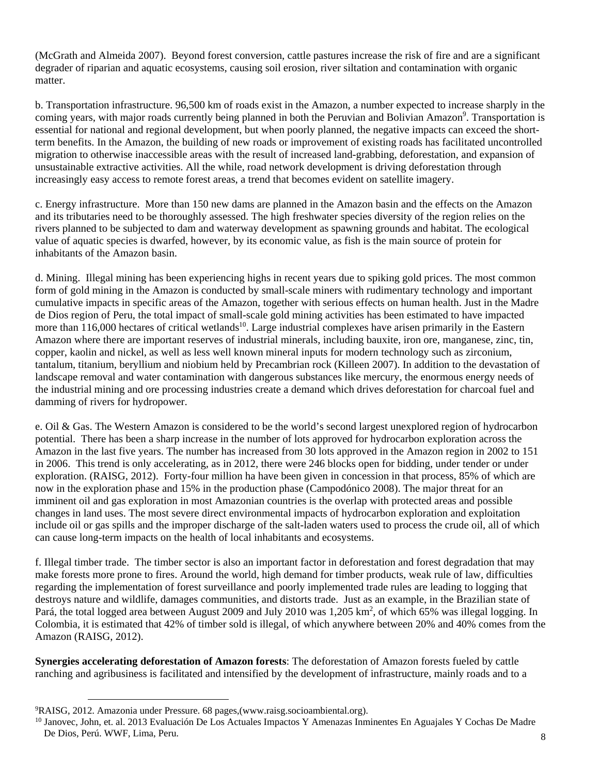(McGrath and Almeida 2007). Beyond forest conversion, cattle pastures increase the risk of fire and are a significant degrader of riparian and aquatic ecosystems, causing soil erosion, river siltation and contamination with organic matter.

b. Transportation infrastructure. 96,500 km of roads exist in the Amazon, a number expected to increase sharply in the coming years, with major roads currently being planned in both the Peruvian and Bolivian Amazon<sup>9</sup>. Transportation is essential for national and regional development, but when poorly planned, the negative impacts can exceed the shortterm benefits. In the Amazon, the building of new roads or improvement of existing roads has facilitated uncontrolled migration to otherwise inaccessible areas with the result of increased land-grabbing, deforestation, and expansion of unsustainable extractive activities. All the while, road network development is driving deforestation through increasingly easy access to remote forest areas, a trend that becomes evident on satellite imagery.

c. Energy infrastructure. More than 150 new dams are planned in the Amazon basin and the effects on the Amazon and its tributaries need to be thoroughly assessed. The high freshwater species diversity of the region relies on the rivers planned to be subjected to dam and waterway development as spawning grounds and habitat. The ecological value of aquatic species is dwarfed, however, by its economic value, as fish is the main source of protein for inhabitants of the Amazon basin.

d. Mining. Illegal mining has been experiencing highs in recent years due to spiking gold prices. The most common form of gold mining in the Amazon is conducted by small-scale miners with rudimentary technology and important cumulative impacts in specific areas of the Amazon, together with serious effects on human health. Just in the Madre de Dios region of Peru, the total impact of small-scale gold mining activities has been estimated to have impacted more than 116,000 hectares of critical wetlands<sup>10</sup>. Large industrial complexes have arisen primarily in the Eastern Amazon where there are important reserves of industrial minerals, including bauxite, iron ore, manganese, zinc, tin, copper, kaolin and nickel, as well as less well known mineral inputs for modern technology such as zirconium, tantalum, titanium, beryllium and niobium held by Precambrian rock (Killeen 2007). In addition to the devastation of landscape removal and water contamination with dangerous substances like mercury, the enormous energy needs of the industrial mining and ore processing industries create a demand which drives deforestation for charcoal fuel and damming of rivers for hydropower.

e. Oil & Gas. The Western Amazon is considered to be the world's second largest unexplored region of hydrocarbon potential. There has been a sharp increase in the number of lots approved for hydrocarbon exploration across the Amazon in the last five years. The number has increased from 30 lots approved in the Amazon region in 2002 to 151 in 2006. This trend is only accelerating, as in 2012, there were 246 blocks open for bidding, under tender or under exploration. (RAISG, 2012). Forty-four million ha have been given in concession in that process, 85% of which are now in the exploration phase and 15% in the production phase (Campodónico 2008). The major threat for an imminent oil and gas exploration in most Amazonian countries is the overlap with protected areas and possible changes in land uses. The most severe direct environmental impacts of hydrocarbon exploration and exploitation include oil or gas spills and the improper discharge of the salt-laden waters used to process the crude oil, all of which can cause long-term impacts on the health of local inhabitants and ecosystems.

f. Illegal timber trade. The timber sector is also an important factor in deforestation and forest degradation that may make forests more prone to fires. Around the world, high demand for timber products, weak rule of law, difficulties regarding the implementation of forest surveillance and poorly implemented trade rules are leading to logging that destroys nature and wildlife, damages communities, and distorts trade. Just as an example, in the Brazilian state of Pará, the total logged area between August 2009 and July 2010 was 1,205 km<sup>2</sup>, of which 65% was illegal logging. In Colombia, it is estimated that 42% of timber sold is illegal, of which anywhere between 20% and 40% comes from the Amazon (RAISG, 2012).

**Synergies accelerating deforestation of Amazon forests**: The deforestation of Amazon forests fueled by cattle ranching and agribusiness is facilitated and intensified by the development of infrastructure, mainly roads and to a

 <sup>9</sup> RAISG, 2012. Amazonia under Pressure. 68 pages,(www.raisg.socioambiental.org).

<sup>&</sup>lt;sup>10</sup> Janovec, John, et. al. 2013 Evaluación De Los Actuales Impactos Y Amenazas Inminentes En Aguajales Y Cochas De Madre De Dios, Perú. WWF, Lima, Peru.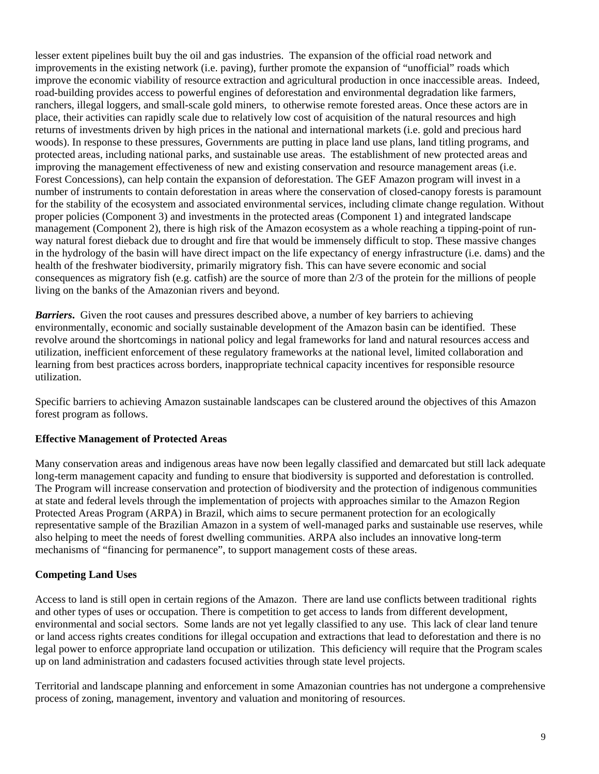lesser extent pipelines built buy the oil and gas industries. The expansion of the official road network and improvements in the existing network (i.e. paving), further promote the expansion of "unofficial" roads which improve the economic viability of resource extraction and agricultural production in once inaccessible areas. Indeed, road-building provides access to powerful engines of deforestation and environmental degradation like farmers, ranchers, illegal loggers, and small-scale gold miners, to otherwise remote forested areas. Once these actors are in place, their activities can rapidly scale due to relatively low cost of acquisition of the natural resources and high returns of investments driven by high prices in the national and international markets (i.e. gold and precious hard woods). In response to these pressures, Governments are putting in place land use plans, land titling programs, and protected areas, including national parks, and sustainable use areas. The establishment of new protected areas and improving the management effectiveness of new and existing conservation and resource management areas (i.e. Forest Concessions), can help contain the expansion of deforestation. The GEF Amazon program will invest in a number of instruments to contain deforestation in areas where the conservation of closed-canopy forests is paramount for the stability of the ecosystem and associated environmental services, including climate change regulation. Without proper policies (Component 3) and investments in the protected areas (Component 1) and integrated landscape management (Component 2), there is high risk of the Amazon ecosystem as a whole reaching a tipping-point of runway natural forest dieback due to drought and fire that would be immensely difficult to stop. These massive changes in the hydrology of the basin will have direct impact on the life expectancy of energy infrastructure (i.e. dams) and the health of the freshwater biodiversity, primarily migratory fish. This can have severe economic and social consequences as migratory fish (e.g. catfish) are the source of more than 2/3 of the protein for the millions of people living on the banks of the Amazonian rivers and beyond.

*Barriers***.** Given the root causes and pressures described above, a number of key barriers to achieving environmentally, economic and socially sustainable development of the Amazon basin can be identified. These revolve around the shortcomings in national policy and legal frameworks for land and natural resources access and utilization, inefficient enforcement of these regulatory frameworks at the national level, limited collaboration and learning from best practices across borders, inappropriate technical capacity incentives for responsible resource utilization.

Specific barriers to achieving Amazon sustainable landscapes can be clustered around the objectives of this Amazon forest program as follows.

#### **Effective Management of Protected Areas**

Many conservation areas and indigenous areas have now been legally classified and demarcated but still lack adequate long-term management capacity and funding to ensure that biodiversity is supported and deforestation is controlled. The Program will increase conservation and protection of biodiversity and the protection of indigenous communities at state and federal levels through the implementation of projects with approaches similar to the Amazon Region Protected Areas Program (ARPA) in Brazil, which aims to secure permanent protection for an ecologically representative sample of the Brazilian Amazon in a system of well-managed parks and sustainable use reserves, while also helping to meet the needs of forest dwelling communities. ARPA also includes an innovative long-term mechanisms of "financing for permanence", to support management costs of these areas.

## **Competing Land Uses**

Access to land is still open in certain regions of the Amazon. There are land use conflicts between traditional rights and other types of uses or occupation. There is competition to get access to lands from different development, environmental and social sectors. Some lands are not yet legally classified to any use. This lack of clear land tenure or land access rights creates conditions for illegal occupation and extractions that lead to deforestation and there is no legal power to enforce appropriate land occupation or utilization. This deficiency will require that the Program scales up on land administration and cadasters focused activities through state level projects.

Territorial and landscape planning and enforcement in some Amazonian countries has not undergone a comprehensive process of zoning, management, inventory and valuation and monitoring of resources.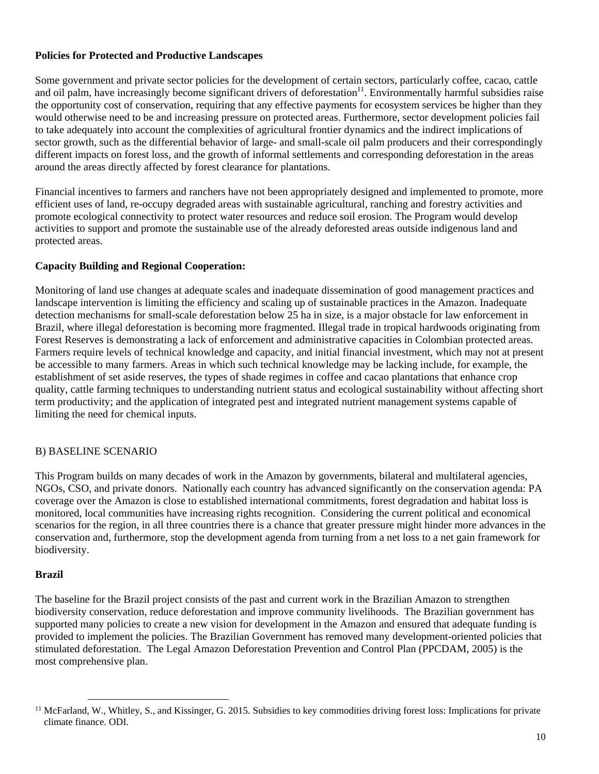#### **Policies for Protected and Productive Landscapes**

Some government and private sector policies for the development of certain sectors, particularly coffee, cacao, cattle and oil palm, have increasingly become significant drivers of deforestation<sup>11</sup>. Environmentally harmful subsidies raise the opportunity cost of conservation, requiring that any effective payments for ecosystem services be higher than they would otherwise need to be and increasing pressure on protected areas. Furthermore, sector development policies fail to take adequately into account the complexities of agricultural frontier dynamics and the indirect implications of sector growth, such as the differential behavior of large- and small-scale oil palm producers and their correspondingly different impacts on forest loss, and the growth of informal settlements and corresponding deforestation in the areas around the areas directly affected by forest clearance for plantations.

Financial incentives to farmers and ranchers have not been appropriately designed and implemented to promote, more efficient uses of land, re-occupy degraded areas with sustainable agricultural, ranching and forestry activities and promote ecological connectivity to protect water resources and reduce soil erosion. The Program would develop activities to support and promote the sustainable use of the already deforested areas outside indigenous land and protected areas.

## **Capacity Building and Regional Cooperation:**

Monitoring of land use changes at adequate scales and inadequate dissemination of good management practices and landscape intervention is limiting the efficiency and scaling up of sustainable practices in the Amazon. Inadequate detection mechanisms for small-scale deforestation below 25 ha in size, is a major obstacle for law enforcement in Brazil, where illegal deforestation is becoming more fragmented. Illegal trade in tropical hardwoods originating from Forest Reserves is demonstrating a lack of enforcement and administrative capacities in Colombian protected areas. Farmers require levels of technical knowledge and capacity, and initial financial investment, which may not at present be accessible to many farmers. Areas in which such technical knowledge may be lacking include, for example, the establishment of set aside reserves, the types of shade regimes in coffee and cacao plantations that enhance crop quality, cattle farming techniques to understanding nutrient status and ecological sustainability without affecting short term productivity; and the application of integrated pest and integrated nutrient management systems capable of limiting the need for chemical inputs.

## B) BASELINE SCENARIO

This Program builds on many decades of work in the Amazon by governments, bilateral and multilateral agencies, NGOs, CSO, and private donors. Nationally each country has advanced significantly on the conservation agenda: PA coverage over the Amazon is close to established international commitments, forest degradation and habitat loss is monitored, local communities have increasing rights recognition. Considering the current political and economical scenarios for the region, in all three countries there is a chance that greater pressure might hinder more advances in the conservation and, furthermore, stop the development agenda from turning from a net loss to a net gain framework for biodiversity.

#### **Brazil**

The baseline for the Brazil project consists of the past and current work in the Brazilian Amazon to strengthen biodiversity conservation, reduce deforestation and improve community livelihoods. The Brazilian government has supported many policies to create a new vision for development in the Amazon and ensured that adequate funding is provided to implement the policies. The Brazilian Government has removed many development-oriented policies that stimulated deforestation. The Legal Amazon Deforestation Prevention and Control Plan (PPCDAM, 2005) is the most comprehensive plan.

<sup>&</sup>lt;sup>11</sup> McFarland, W., Whitley, S., and Kissinger, G. 2015. Subsidies to key commodities driving forest loss: Implications for private climate finance. ODI.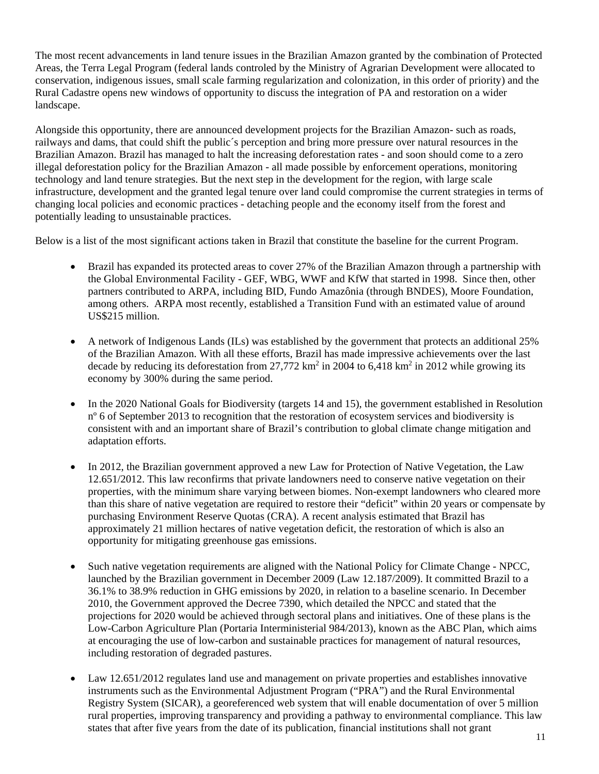The most recent advancements in land tenure issues in the Brazilian Amazon granted by the combination of Protected Areas, the Terra Legal Program (federal lands controled by the Ministry of Agrarian Development were allocated to conservation, indigenous issues, small scale farming regularization and colonization, in this order of priority) and the Rural Cadastre opens new windows of opportunity to discuss the integration of PA and restoration on a wider landscape.

Alongside this opportunity, there are announced development projects for the Brazilian Amazon- such as roads, railways and dams, that could shift the public´s perception and bring more pressure over natural resources in the Brazilian Amazon. Brazil has managed to halt the increasing deforestation rates - and soon should come to a zero illegal deforestation policy for the Brazilian Amazon - all made possible by enforcement operations, monitoring technology and land tenure strategies. But the next step in the development for the region, with large scale infrastructure, development and the granted legal tenure over land could compromise the current strategies in terms of changing local policies and economic practices - detaching people and the economy itself from the forest and potentially leading to unsustainable practices.

Below is a list of the most significant actions taken in Brazil that constitute the baseline for the current Program.

- Brazil has expanded its protected areas to cover 27% of the Brazilian Amazon through a partnership with the Global Environmental Facility - GEF, WBG, WWF and KfW that started in 1998. Since then, other partners contributed to ARPA, including BID, Fundo Amazônia (through BNDES), Moore Foundation, among others. ARPA most recently, established a Transition Fund with an estimated value of around US\$215 million.
- A network of Indigenous Lands (ILs) was established by the government that protects an additional 25% of the Brazilian Amazon. With all these efforts, Brazil has made impressive achievements over the last decade by reducing its deforestation from 27,772 km<sup>2</sup> in 2004 to 6,418 km<sup>2</sup> in 2012 while growing its economy by 300% during the same period.
- In the 2020 National Goals for Biodiversity (targets 14 and 15), the government established in Resolution nº 6 of September 2013 to recognition that the restoration of ecosystem services and biodiversity is consistent with and an important share of Brazil's contribution to global climate change mitigation and adaptation efforts.
- In 2012, the Brazilian government approved a new Law for Protection of Native Vegetation, the Law 12.651/2012. This law reconfirms that private landowners need to conserve native vegetation on their properties, with the minimum share varying between biomes. Non-exempt landowners who cleared more than this share of native vegetation are required to restore their "deficit" within 20 years or compensate by purchasing Environment Reserve Quotas (CRA). A recent analysis estimated that Brazil has approximately 21 million hectares of native vegetation deficit, the restoration of which is also an opportunity for mitigating greenhouse gas emissions.
- Such native vegetation requirements are aligned with the National Policy for Climate Change NPCC, launched by the Brazilian government in December 2009 (Law 12.187/2009). It committed Brazil to a 36.1% to 38.9% reduction in GHG emissions by 2020, in relation to a baseline scenario. In December 2010, the Government approved the Decree 7390, which detailed the NPCC and stated that the projections for 2020 would be achieved through sectoral plans and initiatives. One of these plans is the Low-Carbon Agriculture Plan (Portaria Interministerial 984/2013), known as the ABC Plan, which aims at encouraging the use of low-carbon and sustainable practices for management of natural resources, including restoration of degraded pastures.
- Law 12.651/2012 regulates land use and management on private properties and establishes innovative instruments such as the Environmental Adjustment Program ("PRA") and the Rural Environmental Registry System (SICAR), a georeferenced web system that will enable documentation of over 5 million rural properties, improving transparency and providing a pathway to environmental compliance. This law states that after five years from the date of its publication, financial institutions shall not grant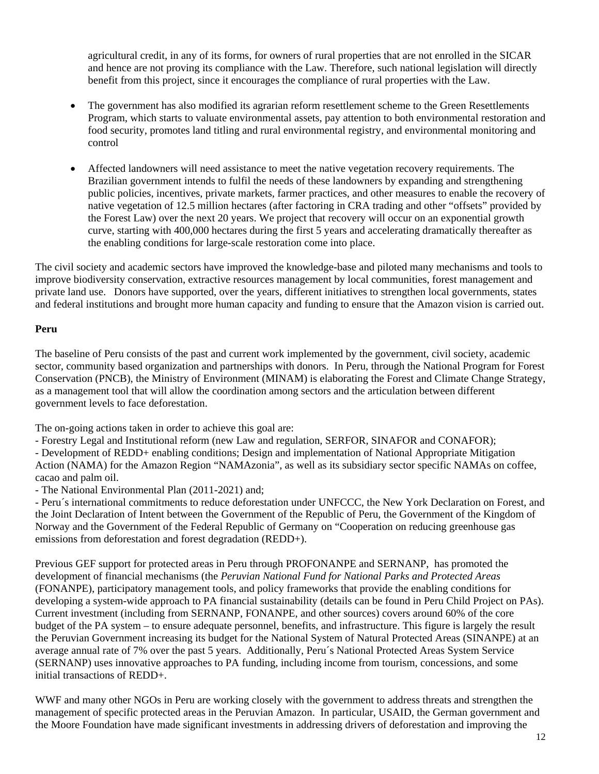agricultural credit, in any of its forms, for owners of rural properties that are not enrolled in the SICAR and hence are not proving its compliance with the Law. Therefore, such national legislation will directly benefit from this project, since it encourages the compliance of rural properties with the Law.

- The government has also modified its agrarian reform resettlement scheme to the Green Resettlements Program, which starts to valuate environmental assets, pay attention to both environmental restoration and food security, promotes land titling and rural environmental registry, and environmental monitoring and control
- Affected landowners will need assistance to meet the native vegetation recovery requirements. The Brazilian government intends to fulfil the needs of these landowners by expanding and strengthening public policies, incentives, private markets, farmer practices, and other measures to enable the recovery of native vegetation of 12.5 million hectares (after factoring in CRA trading and other "offsets" provided by the Forest Law) over the next 20 years. We project that recovery will occur on an exponential growth curve, starting with 400,000 hectares during the first 5 years and accelerating dramatically thereafter as the enabling conditions for large-scale restoration come into place.

The civil society and academic sectors have improved the knowledge-base and piloted many mechanisms and tools to improve biodiversity conservation, extractive resources management by local communities, forest management and private land use. Donors have supported, over the years, different initiatives to strengthen local governments, states and federal institutions and brought more human capacity and funding to ensure that the Amazon vision is carried out.

#### **Peru**

The baseline of Peru consists of the past and current work implemented by the government, civil society, academic sector, community based organization and partnerships with donors. In Peru, through the National Program for Forest Conservation (PNCB), the Ministry of Environment (MINAM) is elaborating the Forest and Climate Change Strategy, as a management tool that will allow the coordination among sectors and the articulation between different government levels to face deforestation.

The on-going actions taken in order to achieve this goal are:

- Forestry Legal and Institutional reform (new Law and regulation, SERFOR, SINAFOR and CONAFOR);

- Development of REDD+ enabling conditions; Design and implementation of National Appropriate Mitigation Action (NAMA) for the Amazon Region "NAMAzonia", as well as its subsidiary sector specific NAMAs on coffee, cacao and palm oil.

- The National Environmental Plan (2011-2021) and;

- Peru´s international commitments to reduce deforestation under UNFCCC, the New York Declaration on Forest, and the Joint Declaration of Intent between the Government of the Republic of Peru, the Government of the Kingdom of Norway and the Government of the Federal Republic of Germany on "Cooperation on reducing greenhouse gas emissions from deforestation and forest degradation (REDD+).

Previous GEF support for protected areas in Peru through PROFONANPE and SERNANP, has promoted the development of financial mechanisms (the *Peruvian National Fund for National Parks and Protected Areas* (FONANPE), participatory management tools, and policy frameworks that provide the enabling conditions for developing a system-wide approach to PA financial sustainability (details can be found in Peru Child Project on PAs). Current investment (including from SERNANP, FONANPE, and other sources) covers around 60% of the core budget of the PA system – to ensure adequate personnel, benefits, and infrastructure. This figure is largely the result the Peruvian Government increasing its budget for the National System of Natural Protected Areas (SINANPE) at an average annual rate of 7% over the past 5 years. Additionally, Peru´s National Protected Areas System Service (SERNANP) uses innovative approaches to PA funding, including income from tourism, concessions, and some initial transactions of REDD+.

WWF and many other NGOs in Peru are working closely with the government to address threats and strengthen the management of specific protected areas in the Peruvian Amazon. In particular, USAID, the German government and the Moore Foundation have made significant investments in addressing drivers of deforestation and improving the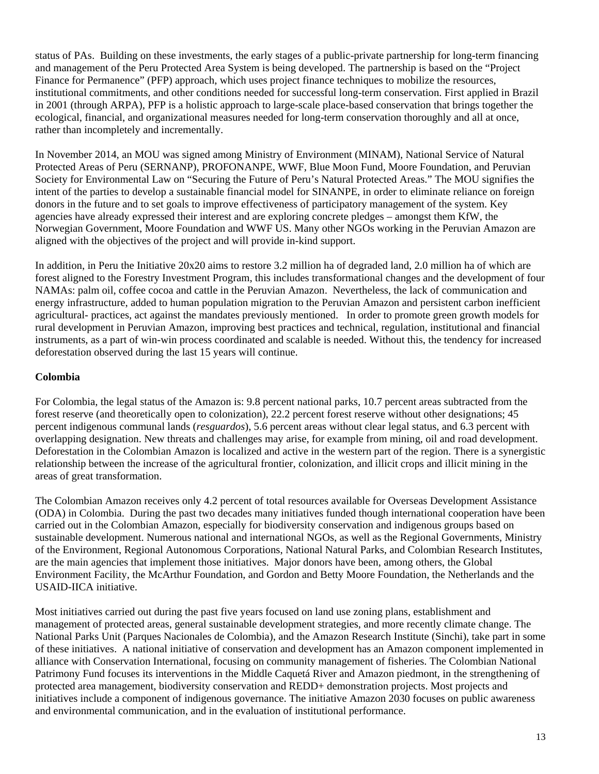status of PAs. Building on these investments, the early stages of a public-private partnership for long-term financing and management of the Peru Protected Area System is being developed. The partnership is based on the "Project Finance for Permanence" (PFP) approach, which uses project finance techniques to mobilize the resources, institutional commitments, and other conditions needed for successful long-term conservation. First applied in Brazil in 2001 (through ARPA), PFP is a holistic approach to large-scale place-based conservation that brings together the ecological, financial, and organizational measures needed for long-term conservation thoroughly and all at once, rather than incompletely and incrementally.

In November 2014, an MOU was signed among Ministry of Environment (MINAM), National Service of Natural Protected Areas of Peru (SERNANP), PROFONANPE, WWF, Blue Moon Fund, Moore Foundation, and Peruvian Society for Environmental Law on "Securing the Future of Peru's Natural Protected Areas." The MOU signifies the intent of the parties to develop a sustainable financial model for SINANPE, in order to eliminate reliance on foreign donors in the future and to set goals to improve effectiveness of participatory management of the system. Key agencies have already expressed their interest and are exploring concrete pledges – amongst them KfW, the Norwegian Government, Moore Foundation and WWF US. Many other NGOs working in the Peruvian Amazon are aligned with the objectives of the project and will provide in-kind support.

In addition, in Peru the Initiative 20x20 aims to restore 3.2 million ha of degraded land, 2.0 million ha of which are forest aligned to the Forestry Investment Program, this includes transformational changes and the development of four NAMAs: palm oil, coffee cocoa and cattle in the Peruvian Amazon. Nevertheless, the lack of communication and energy infrastructure, added to human population migration to the Peruvian Amazon and persistent carbon inefficient agricultural- practices, act against the mandates previously mentioned. In order to promote green growth models for rural development in Peruvian Amazon, improving best practices and technical, regulation, institutional and financial instruments, as a part of win-win process coordinated and scalable is needed. Without this, the tendency for increased deforestation observed during the last 15 years will continue.

## **Colombia**

For Colombia, the legal status of the Amazon is: 9.8 percent national parks, 10.7 percent areas subtracted from the forest reserve (and theoretically open to colonization), 22.2 percent forest reserve without other designations; 45 percent indigenous communal lands (*resguardos*), 5.6 percent areas without clear legal status, and 6.3 percent with overlapping designation. New threats and challenges may arise, for example from mining, oil and road development. Deforestation in the Colombian Amazon is localized and active in the western part of the region. There is a synergistic relationship between the increase of the agricultural frontier, colonization, and illicit crops and illicit mining in the areas of great transformation.

The Colombian Amazon receives only 4.2 percent of total resources available for Overseas Development Assistance (ODA) in Colombia. During the past two decades many initiatives funded though international cooperation have been carried out in the Colombian Amazon, especially for biodiversity conservation and indigenous groups based on sustainable development. Numerous national and international NGOs, as well as the Regional Governments, Ministry of the Environment, Regional Autonomous Corporations, National Natural Parks, and Colombian Research Institutes, are the main agencies that implement those initiatives. Major donors have been, among others, the Global Environment Facility, the McArthur Foundation, and Gordon and Betty Moore Foundation, the Netherlands and the USAID-IICA initiative.

Most initiatives carried out during the past five years focused on land use zoning plans, establishment and management of protected areas, general sustainable development strategies, and more recently climate change. The National Parks Unit (Parques Nacionales de Colombia), and the Amazon Research Institute (Sinchi), take part in some of these initiatives. A national initiative of conservation and development has an Amazon component implemented in alliance with Conservation International, focusing on community management of fisheries. The Colombian National Patrimony Fund focuses its interventions in the Middle Caquetá River and Amazon piedmont, in the strengthening of protected area management, biodiversity conservation and REDD+ demonstration projects. Most projects and initiatives include a component of indigenous governance. The initiative Amazon 2030 focuses on public awareness and environmental communication, and in the evaluation of institutional performance.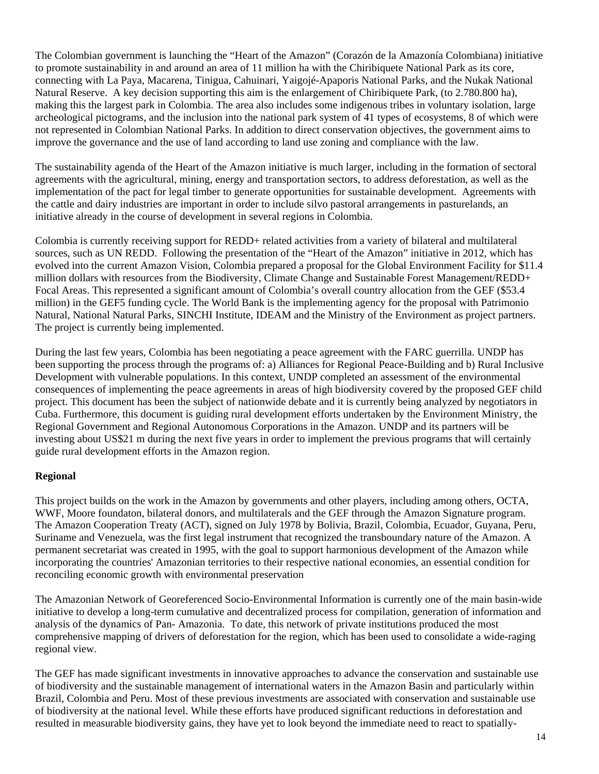The Colombian government is launching the "Heart of the Amazon" (Corazón de la Amazonía Colombiana) initiative to promote sustainability in and around an area of 11 million ha with the Chiribiquete National Park as its core, connecting with La Paya, Macarena, Tinigua, Cahuinari, Yaigojé-Apaporis National Parks, and the Nukak National Natural Reserve. A key decision supporting this aim is the enlargement of Chiribiquete Park, (to 2.780.800 ha), making this the largest park in Colombia. The area also includes some indigenous tribes in voluntary isolation, large archeological pictograms, and the inclusion into the national park system of 41 types of ecosystems, 8 of which were not represented in Colombian National Parks. In addition to direct conservation objectives, the government aims to improve the governance and the use of land according to land use zoning and compliance with the law.

The sustainability agenda of the Heart of the Amazon initiative is much larger, including in the formation of sectoral agreements with the agricultural, mining, energy and transportation sectors, to address deforestation, as well as the implementation of the pact for legal timber to generate opportunities for sustainable development. Agreements with the cattle and dairy industries are important in order to include silvo pastoral arrangements in pasturelands, an initiative already in the course of development in several regions in Colombia.

Colombia is currently receiving support for REDD+ related activities from a variety of bilateral and multilateral sources, such as UN REDD. Following the presentation of the "Heart of the Amazon" initiative in 2012, which has evolved into the current Amazon Vision, Colombia prepared a proposal for the Global Environment Facility for \$11.4 million dollars with resources from the Biodiversity, Climate Change and Sustainable Forest Management/REDD+ Focal Areas. This represented a significant amount of Colombia's overall country allocation from the GEF (\$53.4 million) in the GEF5 funding cycle. The World Bank is the implementing agency for the proposal with Patrimonio Natural, National Natural Parks, SINCHI Institute, IDEAM and the Ministry of the Environment as project partners. The project is currently being implemented.

During the last few years, Colombia has been negotiating a peace agreement with the FARC guerrilla. UNDP has been supporting the process through the programs of: a) Alliances for Regional Peace-Building and b) Rural Inclusive Development with vulnerable populations. In this context, UNDP completed an assessment of the environmental consequences of implementing the peace agreements in areas of high biodiversity covered by the proposed GEF child project. This document has been the subject of nationwide debate and it is currently being analyzed by negotiators in Cuba. Furthermore, this document is guiding rural development efforts undertaken by the Environment Ministry, the Regional Government and Regional Autonomous Corporations in the Amazon. UNDP and its partners will be investing about US\$21 m during the next five years in order to implement the previous programs that will certainly guide rural development efforts in the Amazon region.

## **Regional**

This project builds on the work in the Amazon by governments and other players, including among others, OCTA, WWF, Moore foundaton, bilateral donors, and multilaterals and the GEF through the Amazon Signature program. The Amazon Cooperation Treaty (ACT), signed on July 1978 by Bolivia, Brazil, Colombia, Ecuador, Guyana, Peru, Suriname and Venezuela, was the first legal instrument that recognized the transboundary nature of the Amazon. A permanent secretariat was created in 1995, with the goal to support harmonious development of the Amazon while incorporating the countries' Amazonian territories to their respective national economies, an essential condition for reconciling economic growth with environmental preservation

The Amazonian Network of Georeferenced Socio-Environmental Information is currently one of the main basin-wide initiative to develop a long-term cumulative and decentralized process for compilation, generation of information and analysis of the dynamics of Pan- Amazonia. To date, this network of private institutions produced the most comprehensive mapping of drivers of deforestation for the region, which has been used to consolidate a wide-raging regional view.

The GEF has made significant investments in innovative approaches to advance the conservation and sustainable use of biodiversity and the sustainable management of international waters in the Amazon Basin and particularly within Brazil, Colombia and Peru. Most of these previous investments are associated with conservation and sustainable use of biodiversity at the national level. While these efforts have produced significant reductions in deforestation and resulted in measurable biodiversity gains, they have yet to look beyond the immediate need to react to spatially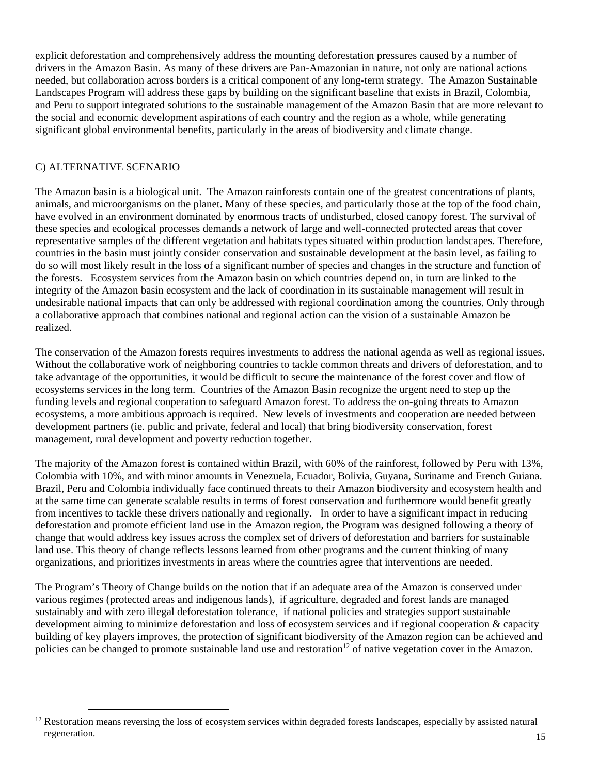explicit deforestation and comprehensively address the mounting deforestation pressures caused by a number of drivers in the Amazon Basin. As many of these drivers are Pan-Amazonian in nature, not only are national actions needed, but collaboration across borders is a critical component of any long-term strategy. The Amazon Sustainable Landscapes Program will address these gaps by building on the significant baseline that exists in Brazil, Colombia, and Peru to support integrated solutions to the sustainable management of the Amazon Basin that are more relevant to the social and economic development aspirations of each country and the region as a whole, while generating significant global environmental benefits, particularly in the areas of biodiversity and climate change.

# C) ALTERNATIVE SCENARIO

The Amazon basin is a biological unit. The Amazon rainforests contain one of the greatest concentrations of plants, animals, and microorganisms on the planet. Many of these species, and particularly those at the top of the food chain, have evolved in an environment dominated by enormous tracts of undisturbed, closed canopy forest. The survival of these species and ecological processes demands a network of large and well-connected protected areas that cover representative samples of the different vegetation and habitats types situated within production landscapes. Therefore, countries in the basin must jointly consider conservation and sustainable development at the basin level, as failing to do so will most likely result in the loss of a significant number of species and changes in the structure and function of the forests. Ecosystem services from the Amazon basin on which countries depend on, in turn are linked to the integrity of the Amazon basin ecosystem and the lack of coordination in its sustainable management will result in undesirable national impacts that can only be addressed with regional coordination among the countries. Only through a collaborative approach that combines national and regional action can the vision of a sustainable Amazon be realized.

The conservation of the Amazon forests requires investments to address the national agenda as well as regional issues. Without the collaborative work of neighboring countries to tackle common threats and drivers of deforestation, and to take advantage of the opportunities, it would be difficult to secure the maintenance of the forest cover and flow of ecosystems services in the long term. Countries of the Amazon Basin recognize the urgent need to step up the funding levels and regional cooperation to safeguard Amazon forest. To address the on-going threats to Amazon ecosystems, a more ambitious approach is required. New levels of investments and cooperation are needed between development partners (ie. public and private, federal and local) that bring biodiversity conservation, forest management, rural development and poverty reduction together.

The majority of the Amazon forest is contained within Brazil, with 60% of the rainforest, followed by Peru with 13%, Colombia with 10%, and with minor amounts in Venezuela, Ecuador, Bolivia, Guyana, Suriname and French Guiana. Brazil, Peru and Colombia individually face continued threats to their Amazon biodiversity and ecosystem health and at the same time can generate scalable results in terms of forest conservation and furthermore would benefit greatly from incentives to tackle these drivers nationally and regionally. In order to have a significant impact in reducing deforestation and promote efficient land use in the Amazon region, the Program was designed following a theory of change that would address key issues across the complex set of drivers of deforestation and barriers for sustainable land use. This theory of change reflects lessons learned from other programs and the current thinking of many organizations, and prioritizes investments in areas where the countries agree that interventions are needed.

The Program's Theory of Change builds on the notion that if an adequate area of the Amazon is conserved under various regimes (protected areas and indigenous lands), if agriculture, degraded and forest lands are managed sustainably and with zero illegal deforestation tolerance, if national policies and strategies support sustainable development aiming to minimize deforestation and loss of ecosystem services and if regional cooperation & capacity building of key players improves, the protection of significant biodiversity of the Amazon region can be achieved and policies can be changed to promote sustainable land use and restoration<sup>12</sup> of native vegetation cover in the Amazon.

 $12$  Restoration means reversing the loss of ecosystem services within degraded forests landscapes, especially by assisted natural regeneration.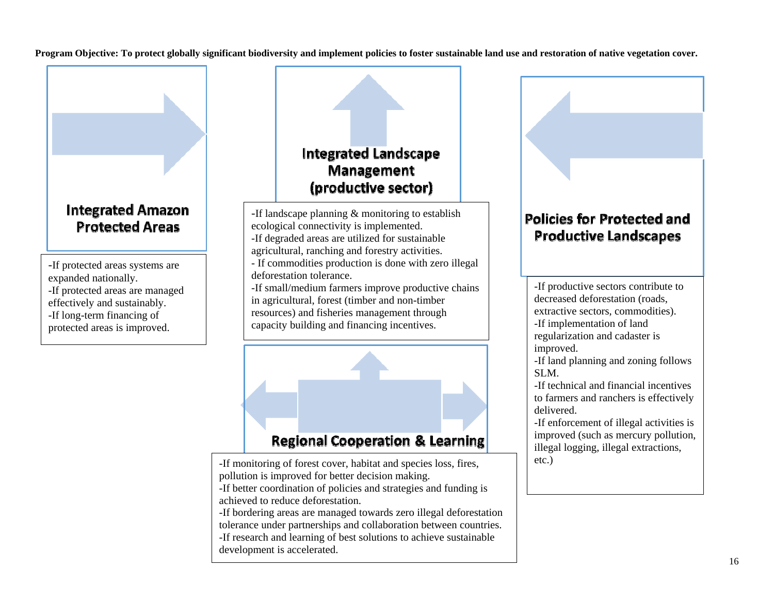**Program Objective: To protect globally significant biodiversity and implement policies to foster sustainable land use and restoration of native vegetation cover.**

# **Integrated Amazon Protected Areas**

-If protected areas systems are expanded nationally. -If protected areas are managed effectively and sustainably. -If long-term financing of protected areas is improved.

# **Integrated Landscape** Management (productive sector)

-If landscape planning & monitoring to establish ecological connectivity is implemented. -If degraded areas are utilized for sustainable agricultural, ranching and forestry activities. - If commodities production is done with zero illegal deforestation tolerance. -If small/medium farmers improve productive chains in agricultural, forest (timber and non-timber resources) and fisheries management through capacity building and financing incentives.



# **Regional Cooperation & Learning**

-If monitoring of forest cover, habitat and species loss, fires, pollution is improved for better decision making.

-If better coordination of policies and strategies and funding is achieved to reduce deforestation.

-If bordering areas are managed towards zero illegal deforestation tolerance under partnerships and collaboration between countries. -If research and learning of best solutions to achieve sustainable development is accelerated.

# **Policies for Protected and Productive Landscapes**

-If productive sectors contribute to decreased deforestation (roads, extractive sectors, commodities). -If implementation of land regularization and cadaster is improved.

-If land planning and zoning follows SLM.

-If technical and financial incentives to farmers and ranchers is effectively delivered.

-If enforcement of illegal activities is improved (such as mercury pollution, illegal logging, illegal extractions, etc.)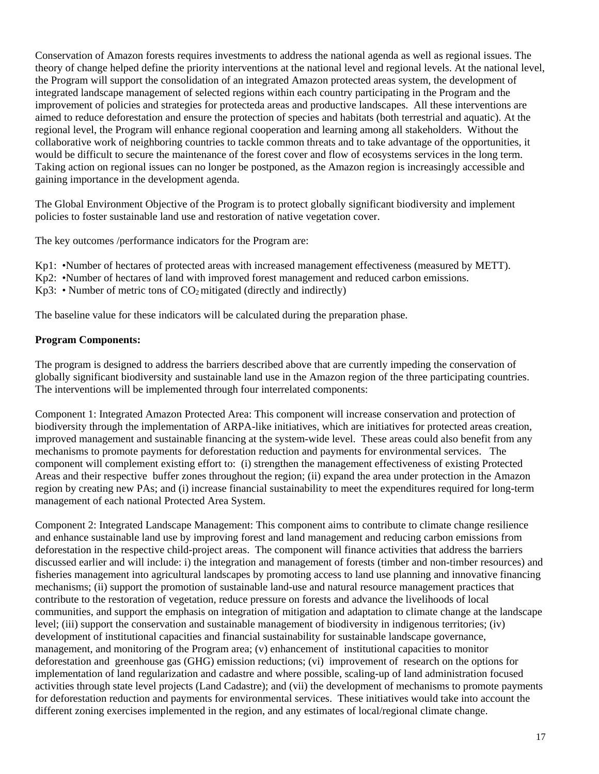Conservation of Amazon forests requires investments to address the national agenda as well as regional issues. The theory of change helped define the priority interventions at the national level and regional levels. At the national level, the Program will support the consolidation of an integrated Amazon protected areas system, the development of integrated landscape management of selected regions within each country participating in the Program and the improvement of policies and strategies for protecteda areas and productive landscapes. All these interventions are aimed to reduce deforestation and ensure the protection of species and habitats (both terrestrial and aquatic). At the regional level, the Program will enhance regional cooperation and learning among all stakeholders. Without the collaborative work of neighboring countries to tackle common threats and to take advantage of the opportunities, it would be difficult to secure the maintenance of the forest cover and flow of ecosystems services in the long term. Taking action on regional issues can no longer be postponed, as the Amazon region is increasingly accessible and gaining importance in the development agenda.

The Global Environment Objective of the Program is to protect globally significant biodiversity and implement policies to foster sustainable land use and restoration of native vegetation cover.

The key outcomes /performance indicators for the Program are:

- Kp1: •Number of hectares of protected areas with increased management effectiveness (measured by METT).
- Kp2: •Number of hectares of land with improved forest management and reduced carbon emissions.
- $Kp3$ : Number of metric tons of  $CO<sub>2</sub>$  mitigated (directly and indirectly)

The baseline value for these indicators will be calculated during the preparation phase.

#### **Program Components:**

The program is designed to address the barriers described above that are currently impeding the conservation of globally significant biodiversity and sustainable land use in the Amazon region of the three participating countries. The interventions will be implemented through four interrelated components:

Component 1: Integrated Amazon Protected Area: This component will increase conservation and protection of biodiversity through the implementation of ARPA-like initiatives, which are initiatives for protected areas creation, improved management and sustainable financing at the system-wide level. These areas could also benefit from any mechanisms to promote payments for deforestation reduction and payments for environmental services. The component will complement existing effort to: (i) strengthen the management effectiveness of existing Protected Areas and their respective buffer zones throughout the region; (ii) expand the area under protection in the Amazon region by creating new PAs; and (i) increase financial sustainability to meet the expenditures required for long-term management of each national Protected Area System.

Component 2: Integrated Landscape Management: This component aims to contribute to climate change resilience and enhance sustainable land use by improving forest and land management and reducing carbon emissions from deforestation in the respective child-project areas. The component will finance activities that address the barriers discussed earlier and will include: i) the integration and management of forests (timber and non-timber resources) and fisheries management into agricultural landscapes by promoting access to land use planning and innovative financing mechanisms; (ii) support the promotion of sustainable land-use and natural resource management practices that contribute to the restoration of vegetation, reduce pressure on forests and advance the livelihoods of local communities, and support the emphasis on integration of mitigation and adaptation to climate change at the landscape level; (iii) support the conservation and sustainable management of biodiversity in indigenous territories; (iv) development of institutional capacities and financial sustainability for sustainable landscape governance, management, and monitoring of the Program area; (v) enhancement of institutional capacities to monitor deforestation and greenhouse gas (GHG) emission reductions; (vi) improvement of research on the options for implementation of land regularization and cadastre and where possible, scaling-up of land administration focused activities through state level projects (Land Cadastre); and (vii) the development of mechanisms to promote payments for deforestation reduction and payments for environmental services. These initiatives would take into account the different zoning exercises implemented in the region, and any estimates of local/regional climate change.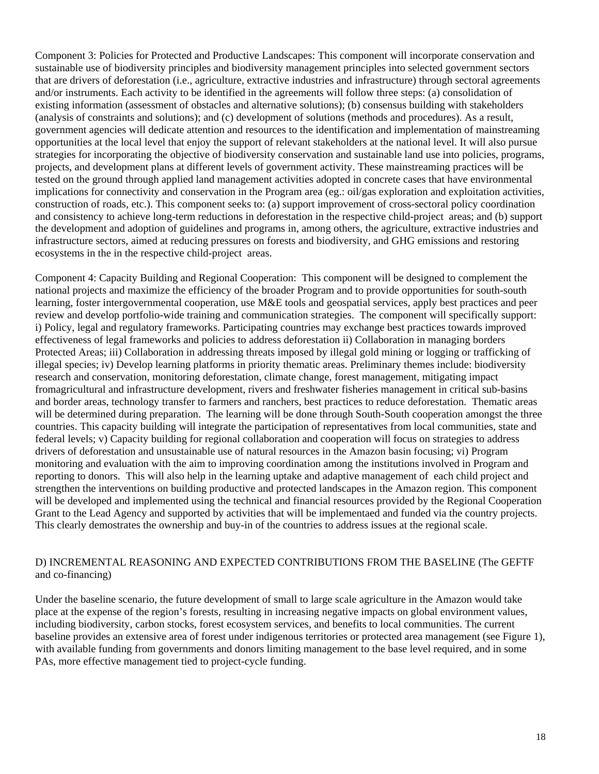Component 3: Policies for Protected and Productive Landscapes: This component will incorporate conservation and sustainable use of biodiversity principles and biodiversity management principles into selected government sectors that are drivers of deforestation (i.e., agriculture, extractive industries and infrastructure) through sectoral agreements and/or instruments. Each activity to be identified in the agreements will follow three steps: (a) consolidation of existing information (assessment of obstacles and alternative solutions); (b) consensus building with stakeholders (analysis of constraints and solutions); and (c) development of solutions (methods and procedures). As a result, government agencies will dedicate attention and resources to the identification and implementation of mainstreaming opportunities at the local level that enjoy the support of relevant stakeholders at the national level. It will also pursue strategies for incorporating the objective of biodiversity conservation and sustainable land use into policies, programs, projects, and development plans at different levels of government activity. These mainstreaming practices will be tested on the ground through applied land management activities adopted in concrete cases that have environmental implications for connectivity and conservation in the Program area (eg.: oil/gas exploration and exploitation activities, construction of roads, etc.). This component seeks to: (a) support improvement of cross-sectoral policy coordination and consistency to achieve long-term reductions in deforestation in the respective child-project areas; and (b) support the development and adoption of guidelines and programs in, among others, the agriculture, extractive industries and infrastructure sectors, aimed at reducing pressures on forests and biodiversity, and GHG emissions and restoring ecosystems in the in the respective child-project areas.

Component 4: Capacity Building and Regional Cooperation: This component will be designed to complement the national projects and maximize the efficiency of the broader Program and to provide opportunities for south-south learning, foster intergovernmental cooperation, use M&E tools and geospatial services, apply best practices and peer review and develop portfolio-wide training and communication strategies. The component will specifically support: i) Policy, legal and regulatory frameworks. Participating countries may exchange best practices towards improved effectiveness of legal frameworks and policies to address deforestation ii) Collaboration in managing borders Protected Areas; iii) Collaboration in addressing threats imposed by illegal gold mining or logging or trafficking of illegal species; iv) Develop learning platforms in priority thematic areas. Preliminary themes include: biodiversity research and conservation, monitoring deforestation, climate change, forest management, mitigating impact fromagricultural and infrastructure development, rivers and freshwater fisheries management in critical sub-basins and border areas, technology transfer to farmers and ranchers, best practices to reduce deforestation. Thematic areas will be determined during preparation. The learning will be done through South-South cooperation amongst the three countries. This capacity building will integrate the participation of representatives from local communities, state and federal levels; v) Capacity building for regional collaboration and cooperation will focus on strategies to address drivers of deforestation and unsustainable use of natural resources in the Amazon basin focusing; vi) Program monitoring and evaluation with the aim to improving coordination among the institutions involved in Program and reporting to donors. This will also help in the learning uptake and adaptive management of each child project and strengthen the interventions on building productive and protected landscapes in the Amazon region. This component will be developed and implemented using the technical and financial resources provided by the Regional Cooperation Grant to the Lead Agency and supported by activities that will be implementaed and funded via the country projects. This clearly demostrates the ownership and buy-in of the countries to address issues at the regional scale.

#### D) INCREMENTAL REASONING AND EXPECTED CONTRIBUTIONS FROM THE BASELINE (The GEFTF and co-financing)

Under the baseline scenario, the future development of small to large scale agriculture in the Amazon would take place at the expense of the region's forests, resulting in increasing negative impacts on global environment values, including biodiversity, carbon stocks, forest ecosystem services, and benefits to local communities. The current baseline provides an extensive area of forest under indigenous territories or protected area management (see Figure 1), with available funding from governments and donors limiting management to the base level required, and in some PAs, more effective management tied to project-cycle funding.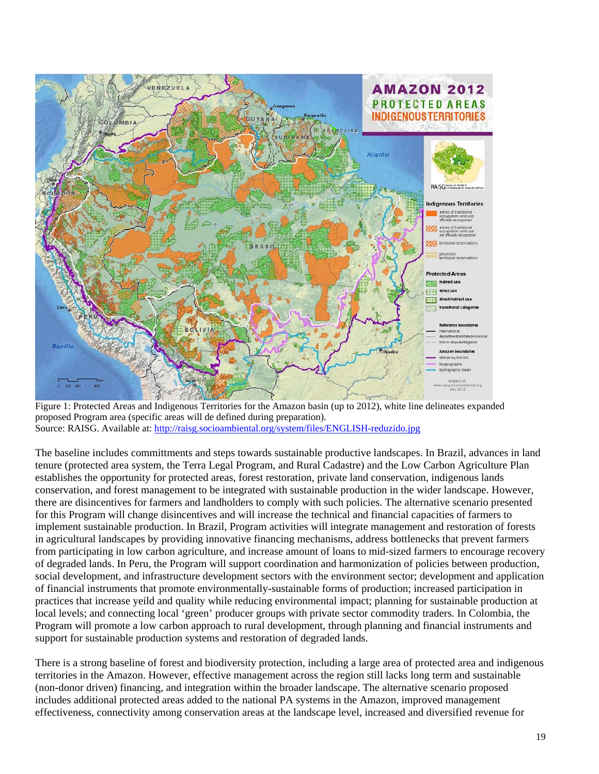

Figure 1: Protected Areas and Indigenous Territories for the Amazon basin (up to 2012), white line delineates expanded proposed Program area (specific areas will de defined during preparation). Source: RAISG. Available at: http://raisg.socioambiental.org/system/files/ENGLISH-reduzido.jpg

The baseline includes committments and steps towards sustainable productive landscapes. In Brazil, advances in land tenure (protected area system, the Terra Legal Program, and Rural Cadastre) and the Low Carbon Agriculture Plan establishes the opportunity for protected areas, forest restoration, private land conservation, indigenous lands conservation, and forest management to be integrated with sustainable production in the wider landscape. However, there are disincentives for farmers and landholders to comply with such policies. The alternative scenario presented for this Program will change disincentives and will increase the technical and financial capacities of farmers to implement sustainable production. In Brazil, Program activities will integrate management and restoration of forests in agricultural landscapes by providing innovative financing mechanisms, address bottlenecks that prevent farmers from participating in low carbon agriculture, and increase amount of loans to mid-sized farmers to encourage recovery of degraded lands. In Peru, the Program will support coordination and harmonization of policies between production, social development, and infrastructure development sectors with the environment sector; development and application of financial instruments that promote environmentally-sustainable forms of production; increased participation in practices that increase yeild and quality while reducing environmental impact; planning for sustainable production at local levels; and connecting local 'green' producer groups with private sector commodity traders. In Colombia, the Program will promote a low carbon approach to rural development, through planning and financial instruments and support for sustainable production systems and restoration of degraded lands.

There is a strong baseline of forest and biodiversity protection, including a large area of protected area and indigenous territories in the Amazon. However, effective management across the region still lacks long term and sustainable (non-donor driven) financing, and integration within the broader landscape. The alternative scenario proposed includes additional protected areas added to the national PA systems in the Amazon, improved management effectiveness, connectivity among conservation areas at the landscape level, increased and diversified revenue for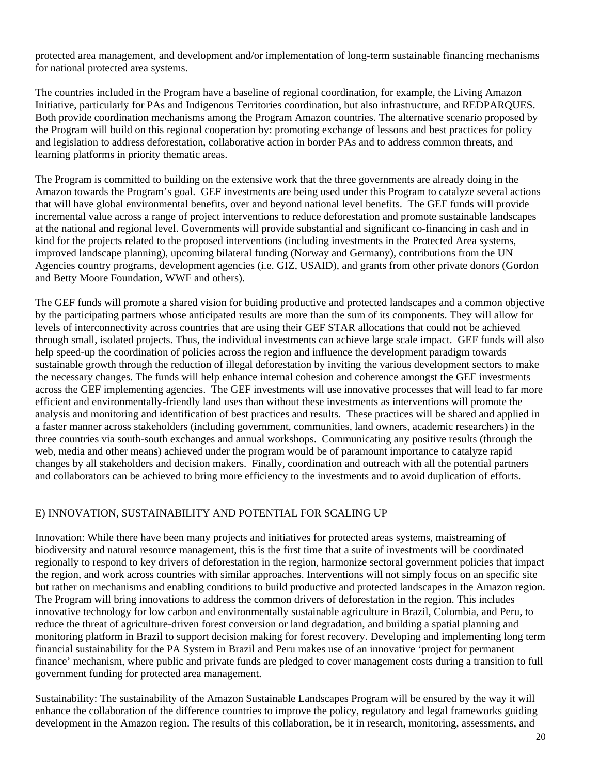protected area management, and development and/or implementation of long-term sustainable financing mechanisms for national protected area systems.

The countries included in the Program have a baseline of regional coordination, for example, the Living Amazon Initiative, particularly for PAs and Indigenous Territories coordination, but also infrastructure, and REDPARQUES. Both provide coordination mechanisms among the Program Amazon countries. The alternative scenario proposed by the Program will build on this regional cooperation by: promoting exchange of lessons and best practices for policy and legislation to address deforestation, collaborative action in border PAs and to address common threats, and learning platforms in priority thematic areas.

The Program is committed to building on the extensive work that the three governments are already doing in the Amazon towards the Program's goal. GEF investments are being used under this Program to catalyze several actions that will have global environmental benefits, over and beyond national level benefits. The GEF funds will provide incremental value across a range of project interventions to reduce deforestation and promote sustainable landscapes at the national and regional level. Governments will provide substantial and significant co-financing in cash and in kind for the projects related to the proposed interventions (including investments in the Protected Area systems, improved landscape planning), upcoming bilateral funding (Norway and Germany), contributions from the UN Agencies country programs, development agencies (i.e. GIZ, USAID), and grants from other private donors (Gordon and Betty Moore Foundation, WWF and others).

The GEF funds will promote a shared vision for buiding productive and protected landscapes and a common objective by the participating partners whose anticipated results are more than the sum of its components. They will allow for levels of interconnectivity across countries that are using their GEF STAR allocations that could not be achieved through small, isolated projects. Thus, the individual investments can achieve large scale impact. GEF funds will also help speed-up the coordination of policies across the region and influence the development paradigm towards sustainable growth through the reduction of illegal deforestation by inviting the various development sectors to make the necessary changes. The funds will help enhance internal cohesion and coherence amongst the GEF investments across the GEF implementing agencies. The GEF investments will use innovative processes that will lead to far more efficient and environmentally-friendly land uses than without these investments as interventions will promote the analysis and monitoring and identification of best practices and results. These practices will be shared and applied in a faster manner across stakeholders (including government, communities, land owners, academic researchers) in the three countries via south-south exchanges and annual workshops. Communicating any positive results (through the web, media and other means) achieved under the program would be of paramount importance to catalyze rapid changes by all stakeholders and decision makers. Finally, coordination and outreach with all the potential partners and collaborators can be achieved to bring more efficiency to the investments and to avoid duplication of efforts.

#### E) INNOVATION, SUSTAINABILITY AND POTENTIAL FOR SCALING UP

Innovation: While there have been many projects and initiatives for protected areas systems, maistreaming of biodiversity and natural resource management, this is the first time that a suite of investments will be coordinated regionally to respond to key drivers of deforestation in the region, harmonize sectoral government policies that impact the region, and work across countries with similar approaches. Interventions will not simply focus on an specific site but rather on mechanisms and enabling conditions to build productive and protected landscapes in the Amazon region. The Program will bring innovations to address the common drivers of deforestation in the region. This includes innovative technology for low carbon and environmentally sustainable agriculture in Brazil, Colombia, and Peru, to reduce the threat of agriculture-driven forest conversion or land degradation, and building a spatial planning and monitoring platform in Brazil to support decision making for forest recovery. Developing and implementing long term financial sustainability for the PA System in Brazil and Peru makes use of an innovative 'project for permanent finance' mechanism, where public and private funds are pledged to cover management costs during a transition to full government funding for protected area management.

Sustainability: The sustainability of the Amazon Sustainable Landscapes Program will be ensured by the way it will enhance the collaboration of the difference countries to improve the policy, regulatory and legal frameworks guiding development in the Amazon region. The results of this collaboration, be it in research, monitoring, assessments, and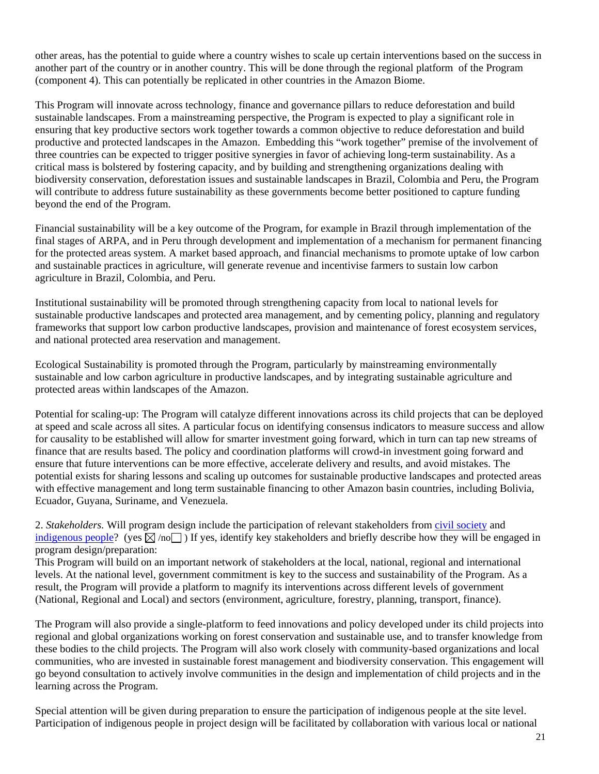other areas, has the potential to guide where a country wishes to scale up certain interventions based on the success in another part of the country or in another country. This will be done through the regional platform of the Program (component 4). This can potentially be replicated in other countries in the Amazon Biome.

This Program will innovate across technology, finance and governance pillars to reduce deforestation and build sustainable landscapes. From a mainstreaming perspective, the Program is expected to play a significant role in ensuring that key productive sectors work together towards a common objective to reduce deforestation and build productive and protected landscapes in the Amazon. Embedding this "work together" premise of the involvement of three countries can be expected to trigger positive synergies in favor of achieving long-term sustainability. As a critical mass is bolstered by fostering capacity, and by building and strengthening organizations dealing with biodiversity conservation, deforestation issues and sustainable landscapes in Brazil, Colombia and Peru, the Program will contribute to address future sustainability as these governments become better positioned to capture funding beyond the end of the Program.

Financial sustainability will be a key outcome of the Program, for example in Brazil through implementation of the final stages of ARPA, and in Peru through development and implementation of a mechanism for permanent financing for the protected areas system. A market based approach, and financial mechanisms to promote uptake of low carbon and sustainable practices in agriculture, will generate revenue and incentivise farmers to sustain low carbon agriculture in Brazil, Colombia, and Peru.

Institutional sustainability will be promoted through strengthening capacity from local to national levels for sustainable productive landscapes and protected area management, and by cementing policy, planning and regulatory frameworks that support low carbon productive landscapes, provision and maintenance of forest ecosystem services, and national protected area reservation and management.

Ecological Sustainability is promoted through the Program, particularly by mainstreaming environmentally sustainable and low carbon agriculture in productive landscapes, and by integrating sustainable agriculture and protected areas within landscapes of the Amazon.

Potential for scaling-up: The Program will catalyze different innovations across its child projects that can be deployed at speed and scale across all sites. A particular focus on identifying consensus indicators to measure success and allow for causality to be established will allow for smarter investment going forward, which in turn can tap new streams of finance that are results based. The policy and coordination platforms will crowd-in investment going forward and ensure that future interventions can be more effective, accelerate delivery and results, and avoid mistakes. The potential exists for sharing lessons and scaling up outcomes for sustainable productive landscapes and protected areas with effective management and long term sustainable financing to other Amazon basin countries, including Bolivia, Ecuador, Guyana, Suriname, and Venezuela.

2. *Stakeholders.* Will program design include the participation of relevant stakeholders from civil society and indigenous people? (yes  $\boxtimes$  /no ) If yes, identify key stakeholders and briefly describe how they will be engaged in program design/preparation:

This Program will build on an important network of stakeholders at the local, national, regional and international levels. At the national level, government commitment is key to the success and sustainability of the Program. As a result, the Program will provide a platform to magnify its interventions across different levels of government (National, Regional and Local) and sectors (environment, agriculture, forestry, planning, transport, finance).

The Program will also provide a single-platform to feed innovations and policy developed under its child projects into regional and global organizations working on forest conservation and sustainable use, and to transfer knowledge from these bodies to the child projects. The Program will also work closely with community-based organizations and local communities, who are invested in sustainable forest management and biodiversity conservation. This engagement will go beyond consultation to actively involve communities in the design and implementation of child projects and in the learning across the Program.

Special attention will be given during preparation to ensure the participation of indigenous people at the site level. Participation of indigenous people in project design will be facilitated by collaboration with various local or national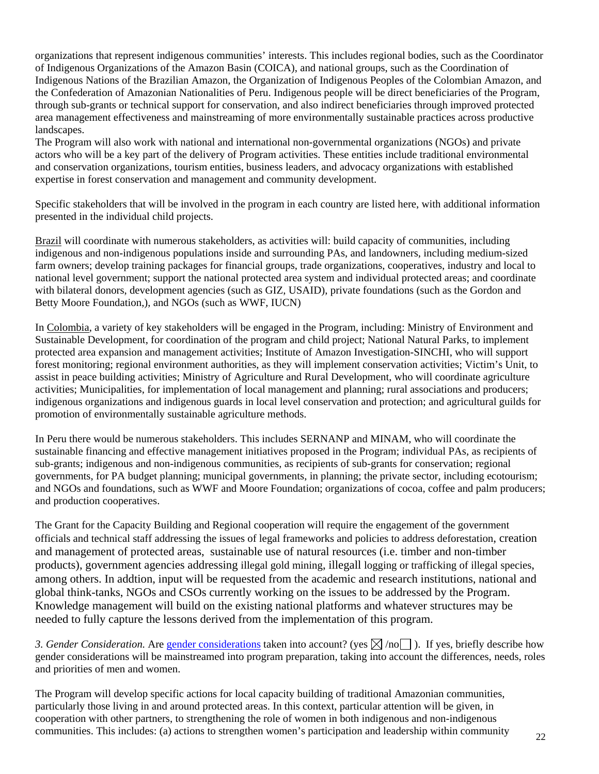organizations that represent indigenous communities' interests. This includes regional bodies, such as the Coordinator of Indigenous Organizations of the Amazon Basin (COICA), and national groups, such as the Coordination of Indigenous Nations of the Brazilian Amazon, the Organization of Indigenous Peoples of the Colombian Amazon, and the Confederation of Amazonian Nationalities of Peru. Indigenous people will be direct beneficiaries of the Program, through sub-grants or technical support for conservation, and also indirect beneficiaries through improved protected area management effectiveness and mainstreaming of more environmentally sustainable practices across productive landscapes.

The Program will also work with national and international non-governmental organizations (NGOs) and private actors who will be a key part of the delivery of Program activities. These entities include traditional environmental and conservation organizations, tourism entities, business leaders, and advocacy organizations with established expertise in forest conservation and management and community development.

Specific stakeholders that will be involved in the program in each country are listed here, with additional information presented in the individual child projects.

Brazil will coordinate with numerous stakeholders, as activities will: build capacity of communities, including indigenous and non-indigenous populations inside and surrounding PAs, and landowners, including medium-sized farm owners; develop training packages for financial groups, trade organizations, cooperatives, industry and local to national level government; support the national protected area system and individual protected areas; and coordinate with bilateral donors, development agencies (such as GIZ, USAID), private foundations (such as the Gordon and Betty Moore Foundation,), and NGOs (such as WWF, IUCN)

In Colombia, a variety of key stakeholders will be engaged in the Program, including: Ministry of Environment and Sustainable Development, for coordination of the program and child project; National Natural Parks, to implement protected area expansion and management activities; Institute of Amazon Investigation-SINCHI, who will support forest monitoring; regional environment authorities, as they will implement conservation activities; Victim's Unit, to assist in peace building activities; Ministry of Agriculture and Rural Development, who will coordinate agriculture activities; Municipalities, for implementation of local management and planning; rural associations and producers; indigenous organizations and indigenous guards in local level conservation and protection; and agricultural guilds for promotion of environmentally sustainable agriculture methods.

In Peru there would be numerous stakeholders. This includes SERNANP and MINAM, who will coordinate the sustainable financing and effective management initiatives proposed in the Program; individual PAs, as recipients of sub-grants; indigenous and non-indigenous communities, as recipients of sub-grants for conservation; regional governments, for PA budget planning; municipal governments, in planning; the private sector, including ecotourism; and NGOs and foundations, such as WWF and Moore Foundation; organizations of cocoa, coffee and palm producers; and production cooperatives.

The Grant for the Capacity Building and Regional cooperation will require the engagement of the government officials and technical staff addressing the issues of legal frameworks and policies to address deforestation, creation and management of protected areas, sustainable use of natural resources (i.e. timber and non-timber products), government agencies addressing illegal gold mining, illegall logging or trafficking of illegal species, among others. In addtion, input will be requested from the academic and research institutions, national and global think-tanks, NGOs and CSOs currently working on the issues to be addressed by the Program. Knowledge management will build on the existing national platforms and whatever structures may be needed to fully capture the lessons derived from the implementation of this program.

*3. Gender Consideration.* Are gender considerations taken into account? (yes  $\boxtimes$  /no ). If yes, briefly describe how gender considerations will be mainstreamed into program preparation, taking into account the differences, needs, roles and priorities of men and women.

The Program will develop specific actions for local capacity building of traditional Amazonian communities, particularly those living in and around protected areas. In this context, particular attention will be given, in cooperation with other partners, to strengthening the role of women in both indigenous and non-indigenous communities. This includes: (a) actions to strengthen women's participation and leadership within community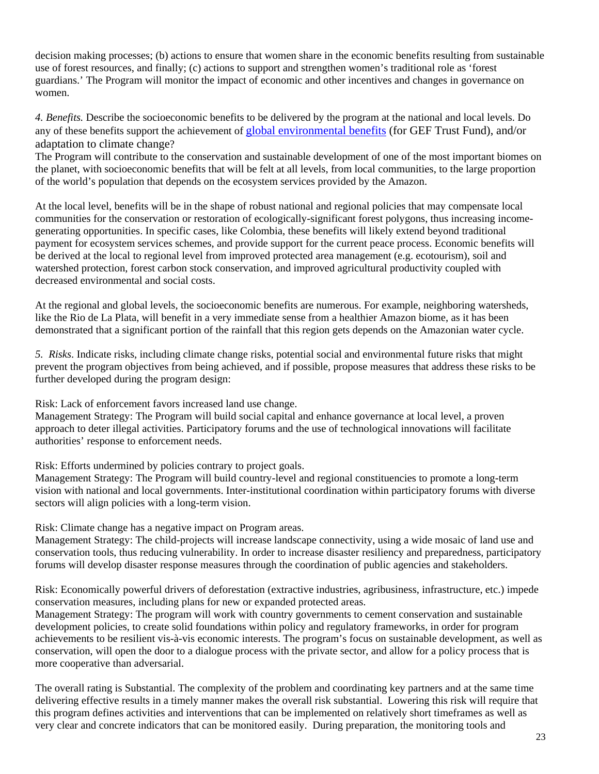decision making processes; (b) actions to ensure that women share in the economic benefits resulting from sustainable use of forest resources, and finally; (c) actions to support and strengthen women's traditional role as 'forest guardians.' The Program will monitor the impact of economic and other incentives and changes in governance on women.

*4. Benefits.* Describe the socioeconomic benefits to be delivered by the program at the national and local levels. Do any of these benefits support the achievement of global environmental benefits (for GEF Trust Fund), and/or adaptation to climate change?

The Program will contribute to the conservation and sustainable development of one of the most important biomes on the planet, with socioeconomic benefits that will be felt at all levels, from local communities, to the large proportion of the world's population that depends on the ecosystem services provided by the Amazon.

At the local level, benefits will be in the shape of robust national and regional policies that may compensate local communities for the conservation or restoration of ecologically-significant forest polygons, thus increasing incomegenerating opportunities. In specific cases, like Colombia, these benefits will likely extend beyond traditional payment for ecosystem services schemes, and provide support for the current peace process. Economic benefits will be derived at the local to regional level from improved protected area management (e.g. ecotourism), soil and watershed protection, forest carbon stock conservation, and improved agricultural productivity coupled with decreased environmental and social costs.

At the regional and global levels, the socioeconomic benefits are numerous. For example, neighboring watersheds, like the Rio de La Plata, will benefit in a very immediate sense from a healthier Amazon biome, as it has been demonstrated that a significant portion of the rainfall that this region gets depends on the Amazonian water cycle.

*5. Risks*. Indicate risks, including climate change risks, potential social and environmental future risks that might prevent the program objectives from being achieved, and if possible, propose measures that address these risks to be further developed during the program design:

Risk: Lack of enforcement favors increased land use change.

Management Strategy: The Program will build social capital and enhance governance at local level, a proven approach to deter illegal activities. Participatory forums and the use of technological innovations will facilitate authorities' response to enforcement needs.

Risk: Efforts undermined by policies contrary to project goals.

Management Strategy: The Program will build country-level and regional constituencies to promote a long-term vision with national and local governments. Inter-institutional coordination within participatory forums with diverse sectors will align policies with a long-term vision.

Risk: Climate change has a negative impact on Program areas.

Management Strategy: The child-projects will increase landscape connectivity, using a wide mosaic of land use and conservation tools, thus reducing vulnerability. In order to increase disaster resiliency and preparedness, participatory forums will develop disaster response measures through the coordination of public agencies and stakeholders.

Risk: Economically powerful drivers of deforestation (extractive industries, agribusiness, infrastructure, etc.) impede conservation measures, including plans for new or expanded protected areas.

Management Strategy: The program will work with country governments to cement conservation and sustainable development policies, to create solid foundations within policy and regulatory frameworks, in order for program achievements to be resilient vis-à-vis economic interests. The program's focus on sustainable development, as well as conservation, will open the door to a dialogue process with the private sector, and allow for a policy process that is more cooperative than adversarial.

The overall rating is Substantial. The complexity of the problem and coordinating key partners and at the same time delivering effective results in a timely manner makes the overall risk substantial. Lowering this risk will require that this program defines activities and interventions that can be implemented on relatively short timeframes as well as very clear and concrete indicators that can be monitored easily. During preparation, the monitoring tools and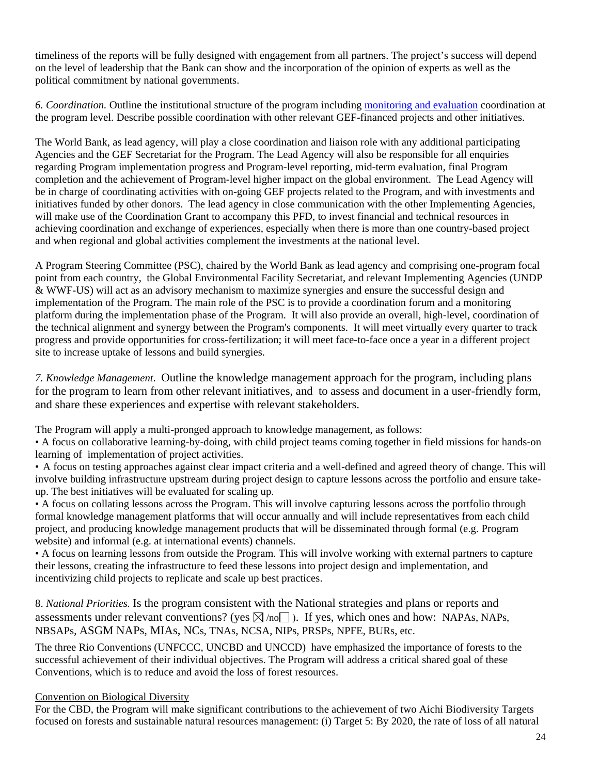timeliness of the reports will be fully designed with engagement from all partners. The project's success will depend on the level of leadership that the Bank can show and the incorporation of the opinion of experts as well as the political commitment by national governments.

*6. Coordination.* Outline the institutional structure of the program including monitoring and evaluation coordination at the program level. Describe possible coordination with other relevant GEF-financed projects and other initiatives.

The World Bank, as lead agency, will play a close coordination and liaison role with any additional participating Agencies and the GEF Secretariat for the Program. The Lead Agency will also be responsible for all enquiries regarding Program implementation progress and Program-level reporting, mid-term evaluation, final Program completion and the achievement of Program-level higher impact on the global environment. The Lead Agency will be in charge of coordinating activities with on-going GEF projects related to the Program, and with investments and initiatives funded by other donors. The lead agency in close communication with the other Implementing Agencies, will make use of the Coordination Grant to accompany this PFD, to invest financial and technical resources in achieving coordination and exchange of experiences, especially when there is more than one country-based project and when regional and global activities complement the investments at the national level.

A Program Steering Committee (PSC), chaired by the World Bank as lead agency and comprising one-program focal point from each country, the Global Environmental Facility Secretariat, and relevant Implementing Agencies (UNDP & WWF-US) will act as an advisory mechanism to maximize synergies and ensure the successful design and implementation of the Program. The main role of the PSC is to provide a coordination forum and a monitoring platform during the implementation phase of the Program. It will also provide an overall, high-level, coordination of the technical alignment and synergy between the Program's components. It will meet virtually every quarter to track progress and provide opportunities for cross-fertilization; it will meet face-to-face once a year in a different project site to increase uptake of lessons and build synergies.

*7. Knowledge Management*. Outline the knowledge management approach for the program, including plans for the program to learn from other relevant initiatives, and to assess and document in a user-friendly form, and share these experiences and expertise with relevant stakeholders.

The Program will apply a multi-pronged approach to knowledge management, as follows:

• A focus on collaborative learning-by-doing, with child project teams coming together in field missions for hands-on learning of implementation of project activities.

• A focus on testing approaches against clear impact criteria and a well-defined and agreed theory of change. This will involve building infrastructure upstream during project design to capture lessons across the portfolio and ensure takeup. The best initiatives will be evaluated for scaling up.

• A focus on collating lessons across the Program. This will involve capturing lessons across the portfolio through formal knowledge management platforms that will occur annually and will include representatives from each child project, and producing knowledge management products that will be disseminated through formal (e.g. Program website) and informal (e.g. at international events) channels.

• A focus on learning lessons from outside the Program. This will involve working with external partners to capture their lessons, creating the infrastructure to feed these lessons into project design and implementation, and incentivizing child projects to replicate and scale up best practices.

8. *National Priorities.* Is the program consistent with the National strategies and plans or reports and assessments under relevant conventions? (yes  $\boxtimes$  /no $\Box$ ). If yes, which ones and how: NAPAs, NAPs, NBSAPs, ASGM NAPs, MIAs, NCs, TNAs, NCSA, NIPs, PRSPs, NPFE, BURs, etc.

The three Rio Conventions (UNFCCC, UNCBD and UNCCD) have emphasized the importance of forests to the successful achievement of their individual objectives. The Program will address a critical shared goal of these Conventions, which is to reduce and avoid the loss of forest resources.

## Convention on Biological Diversity

For the CBD, the Program will make significant contributions to the achievement of two Aichi Biodiversity Targets focused on forests and sustainable natural resources management: (i) Target 5: By 2020, the rate of loss of all natural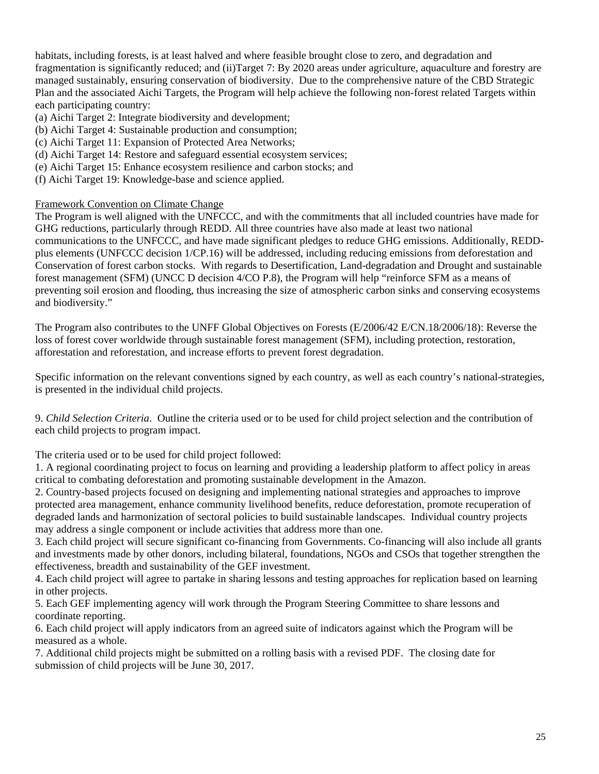habitats, including forests, is at least halved and where feasible brought close to zero, and degradation and fragmentation is significantly reduced; and (ii)Target 7: By 2020 areas under agriculture, aquaculture and forestry are managed sustainably, ensuring conservation of biodiversity. Due to the comprehensive nature of the CBD Strategic Plan and the associated Aichi Targets, the Program will help achieve the following non-forest related Targets within each participating country:

- (a) Aichi Target 2: Integrate biodiversity and development;
- (b) Aichi Target 4: Sustainable production and consumption;
- (c) Aichi Target 11: Expansion of Protected Area Networks;
- (d) Aichi Target 14: Restore and safeguard essential ecosystem services;
- (e) Aichi Target 15: Enhance ecosystem resilience and carbon stocks; and
- (f) Aichi Target 19: Knowledge-base and science applied.

#### Framework Convention on Climate Change

The Program is well aligned with the UNFCCC, and with the commitments that all included countries have made for GHG reductions, particularly through REDD. All three countries have also made at least two national communications to the UNFCCC, and have made significant pledges to reduce GHG emissions. Additionally, REDDplus elements (UNFCCC decision 1/CP.16) will be addressed, including reducing emissions from deforestation and Conservation of forest carbon stocks. With regards to Desertification, Land-degradation and Drought and sustainable forest management (SFM) (UNCC D decision 4/CO P.8), the Program will help "reinforce SFM as a means of preventing soil erosion and flooding, thus increasing the size of atmospheric carbon sinks and conserving ecosystems and biodiversity."

The Program also contributes to the UNFF Global Objectives on Forests (E/2006/42 E/CN.18/2006/18): Reverse the loss of forest cover worldwide through sustainable forest management (SFM), including protection, restoration, afforestation and reforestation, and increase efforts to prevent forest degradation.

Specific information on the relevant conventions signed by each country, as well as each country's national-strategies, is presented in the individual child projects.

9. *Child Selection Criteria*. Outline the criteria used or to be used for child project selection and the contribution of each child projects to program impact.

The criteria used or to be used for child project followed:

1. A regional coordinating project to focus on learning and providing a leadership platform to affect policy in areas critical to combating deforestation and promoting sustainable development in the Amazon.

2. Country-based projects focused on designing and implementing national strategies and approaches to improve protected area management, enhance community livelihood benefits, reduce deforestation, promote recuperation of degraded lands and harmonization of sectoral policies to build sustainable landscapes. Individual country projects may address a single component or include activities that address more than one.

3. Each child project will secure significant co-financing from Governments. Co-financing will also include all grants and investments made by other donors, including bilateral, foundations, NGOs and CSOs that together strengthen the effectiveness, breadth and sustainability of the GEF investment.

4. Each child project will agree to partake in sharing lessons and testing approaches for replication based on learning in other projects.

5. Each GEF implementing agency will work through the Program Steering Committee to share lessons and coordinate reporting.

6. Each child project will apply indicators from an agreed suite of indicators against which the Program will be measured as a whole.

7. Additional child projects might be submitted on a rolling basis with a revised PDF. The closing date for submission of child projects will be June 30, 2017.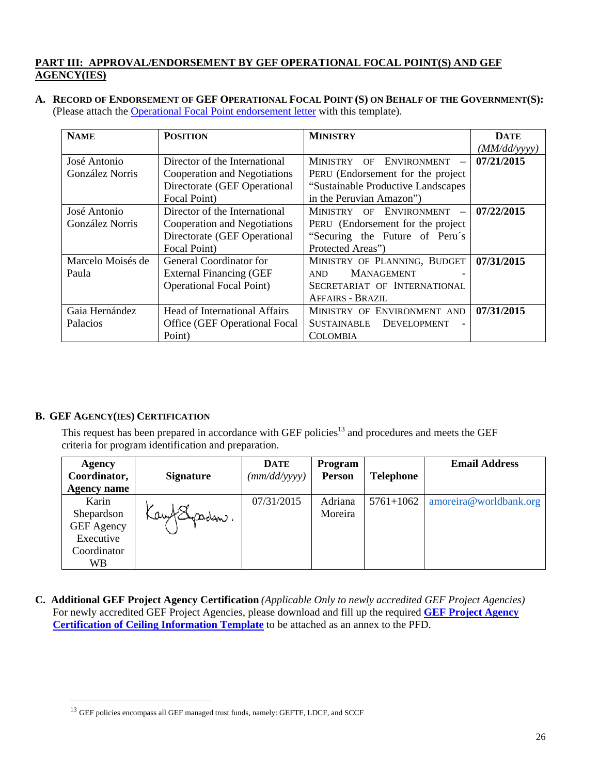## **PART III: APPROVAL/ENDORSEMENT BY GEF OPERATIONAL FOCAL POINT(S) AND GEF AGENCY(IES)**

**A. RECORD OF ENDORSEMENT OF GEF OPERATIONAL FOCAL POINT (S) ON BEHALF OF THE GOVERNMENT(S):** (Please attach the Operational Focal Point endorsement letter with this template).

| <b>NAME</b>       | <b>POSITION</b>                      | <b>MINISTRY</b>                     | <b>DATE</b>  |
|-------------------|--------------------------------------|-------------------------------------|--------------|
|                   |                                      |                                     | (MM/dd/yyyy) |
| José Antonio      | Director of the International        | ENVIRONMENT -<br>MINISTRY<br>OF     | 07/21/2015   |
| González Norris   | Cooperation and Negotiations         | PERU (Endorsement for the project   |              |
|                   | Directorate (GEF Operational         | "Sustainable Productive Landscapes" |              |
|                   | Focal Point)                         | in the Peruvian Amazon")            |              |
| José Antonio      | Director of the International        | MINISTRY OF ENVIRONMENT -           | 07/22/2015   |
| González Norris   | Cooperation and Negotiations         | PERU (Endorsement for the project)  |              |
|                   | Directorate (GEF Operational         | "Securing the Future of Peru's      |              |
|                   | Focal Point)                         | Protected Areas")                   |              |
| Marcelo Moisés de | <b>General Coordinator for</b>       | MINISTRY OF PLANNING, BUDGET        | 07/31/2015   |
| Paula             | <b>External Financing (GEF</b>       | <b>MANAGEMENT</b><br>AND.           |              |
|                   | <b>Operational Focal Point</b> )     | SECRETARIAT OF INTERNATIONAL        |              |
|                   |                                      | <b>AFFAIRS - BRAZIL</b>             |              |
| Gaia Hernández    | <b>Head of International Affairs</b> | MINISTRY OF ENVIRONMENT AND         | 07/31/2015   |
| Palacios          | Office (GEF Operational Focal        | <b>SUSTAINABLE</b><br>DEVELOPMENT   |              |
|                   | Point)                               | <b>COLOMBIA</b>                     |              |

## **B. GEF AGENCY(IES) CERTIFICATION**

 $\overline{a}$ 

This request has been prepared in accordance with GEF policies<sup>13</sup> and procedures and meets the GEF criteria for program identification and preparation.

| Agency             |                  | <b>DATE</b>  | <b>Program</b> |                  | <b>Email Address</b>   |
|--------------------|------------------|--------------|----------------|------------------|------------------------|
| Coordinator,       | <b>Signature</b> | (mm/dd/yyyy) | Person         | <b>Telephone</b> |                        |
| <b>Agency name</b> |                  |              |                |                  |                        |
| Karin              |                  | 07/31/2015   | Adriana        | $5761 + 1062$    | amoreira@worldbank.org |
| Shepardson         | Kay Repadem.     |              | Moreira        |                  |                        |
| <b>GEF</b> Agency  |                  |              |                |                  |                        |
| Executive          |                  |              |                |                  |                        |
| Coordinator        |                  |              |                |                  |                        |
| WВ                 |                  |              |                |                  |                        |

**C. Additional GEF Project Agency Certification** *(Applicable Only to newly accredited GEF Project Agencies)*  For newly accredited GEF Project Agencies, please download and fill up the required **GEF Project Agency Certification of Ceiling Information Template** to be attached as an annex to the PFD.

<sup>13</sup> GEF policies encompass all GEF managed trust funds, namely: GEFTF, LDCF, and SCCF